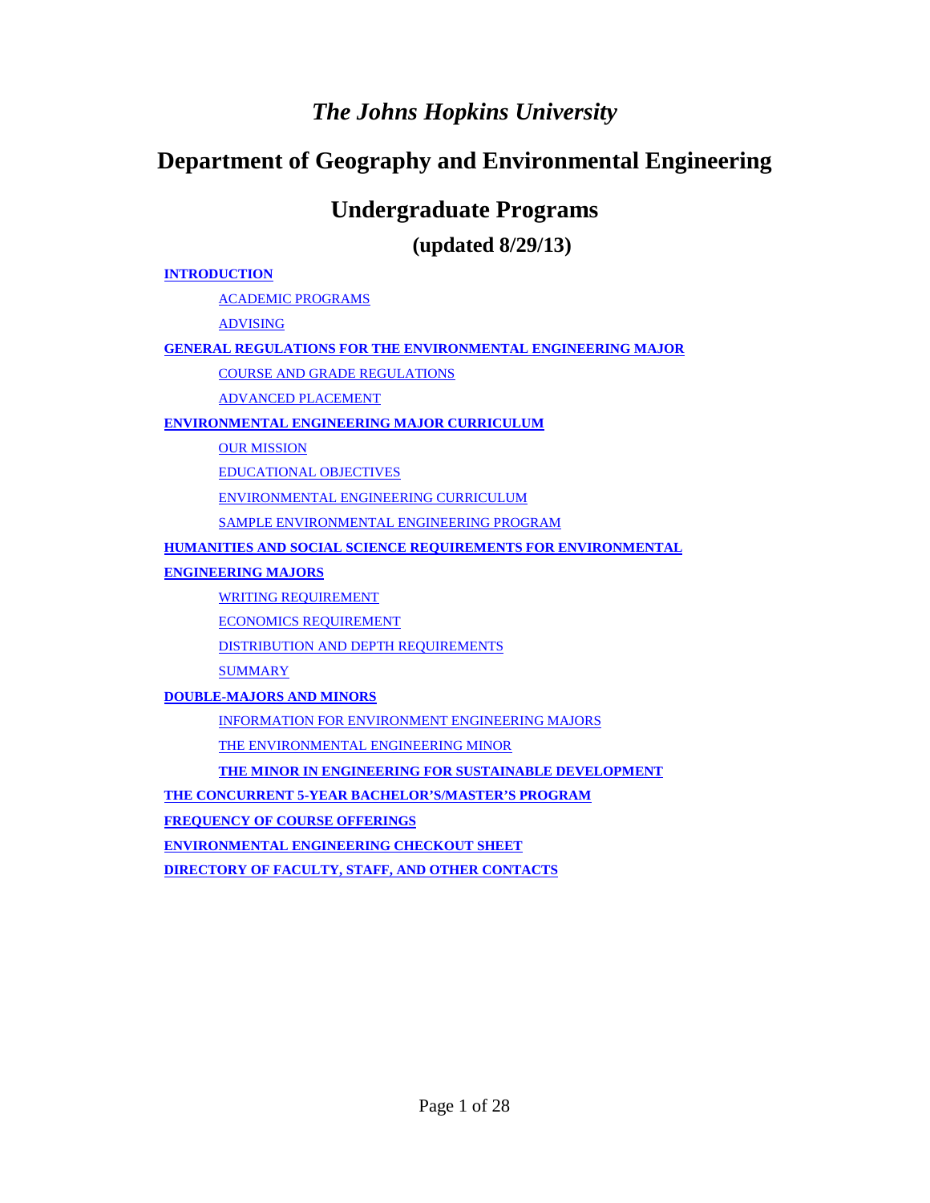# *The Johns Hopkins University*

# **Department of Geography and Environmental Engineering**

# **Undergraduate Programs**

**(updated 8/29/13)**

#### **INTRODUCTION**

ACADEMIC PROGRAMS

ADVISING

#### **GENERAL REGULATIONS FOR THE ENVIRONMENTAL ENGINEERING MAJOR**

COURSE AND GRADE REGULATIONS

ADVANCED PLACEMENT

#### **ENVIRONMENTAL ENGINEERING MAJOR CURRICULUM**

**OUR MISSION** 

EDUCATIONAL OBJECTIVES

ENVIRONMENTAL ENGINEERING CURRICULUM

SAMPLE ENVIRONMENTAL ENGINEERING PROGRAM

#### **HUMANITIES AND SOCIAL SCIENCE REQUIREMENTS FOR ENVIRONMENTAL**

**ENGINEERING MAJORS**

WRITING REQUIREMENT

ECONOMICS REQUIREMENT

DISTRIBUTION AND DEPTH REQUIREMENTS

**SUMMARY** 

**DOUBLE-MAJORS AND MINORS**

INFORMATION FOR ENVIRONMENT ENGINEERING MAJORS

THE ENVIRONMENTAL ENGINEERING MINOR

**THE MINOR IN ENGINEERING FOR SUSTAINABLE DEVELOPMENT** 

**THE CONCURRENT 5-YEAR BACHELOR'S/MASTER'S PROGRAM**

**FREQUENCY OF COURSE OFFERINGS**

**ENVIRONMENTAL ENGINEERING CHECKOUT SHEET**

**DIRECTORY OF FACULTY, STAFF, AND OTHER CONTACTS**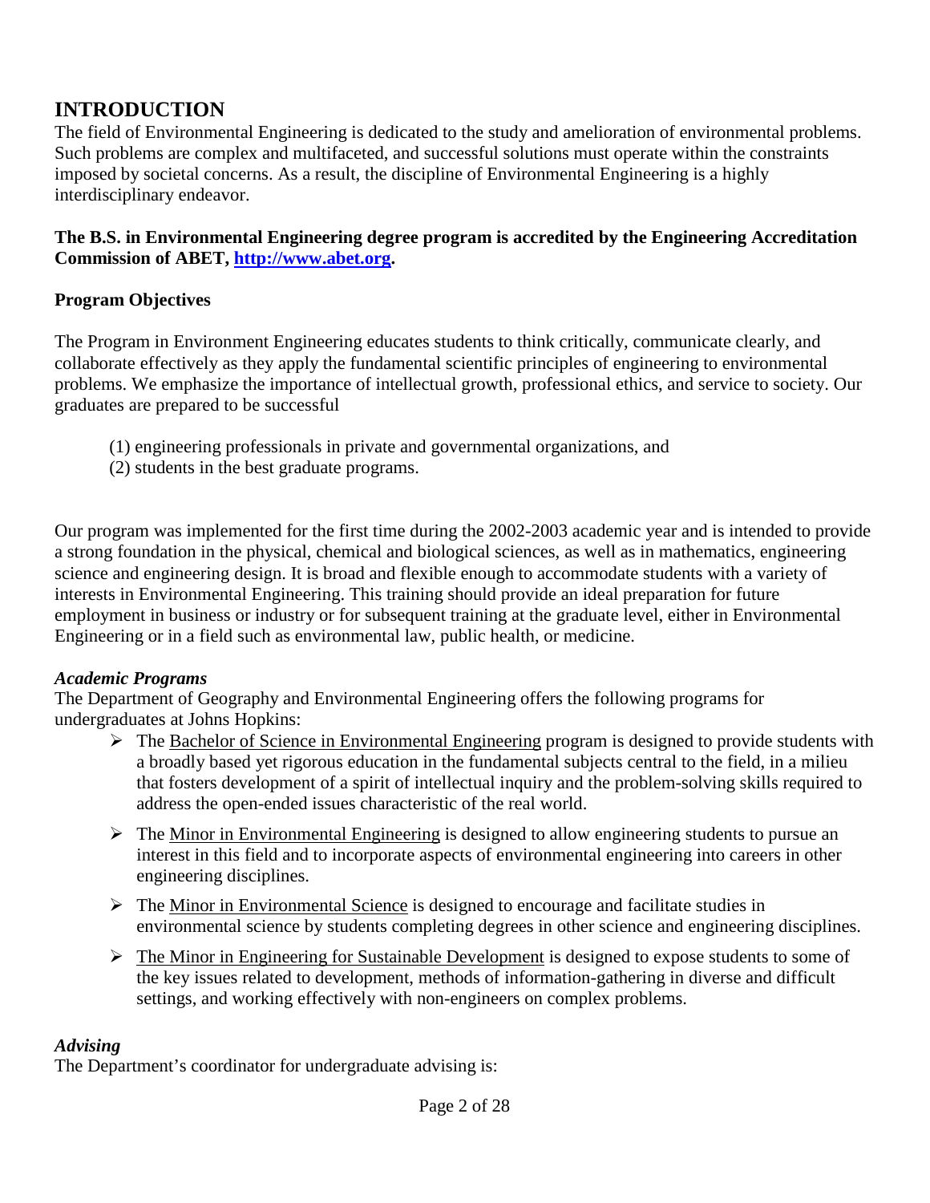# **INTRODUCTION**

The field of Environmental Engineering is dedicated to the study and amelioration of environmental problems. Such problems are complex and multifaceted, and successful solutions must operate within the constraints imposed by societal concerns. As a result, the discipline of Environmental Engineering is a highly interdisciplinary endeavor.

**The B.S. in Environmental Engineering degree program is accredited by the Engineering Accreditation Commission of ABET, http://www.abet.org.**

## **Program Objectives**

The Program in Environment Engineering educates students to think critically, communicate clearly, and collaborate effectively as they apply the fundamental scientific principles of engineering to environmental problems. We emphasize the importance of intellectual growth, professional ethics, and service to society. Our graduates are prepared to be successful

- (1) engineering professionals in private and governmental organizations, and
- (2) students in the best graduate programs.

Our program was implemented for the first time during the 2002-2003 academic year and is intended to provide a strong foundation in the physical, chemical and biological sciences, as well as in mathematics, engineering science and engineering design. It is broad and flexible enough to accommodate students with a variety of interests in Environmental Engineering. This training should provide an ideal preparation for future employment in business or industry or for subsequent training at the graduate level, either in Environmental Engineering or in a field such as environmental law, public health, or medicine.

### *Academic Programs*

The Department of Geography and Environmental Engineering offers the following programs for undergraduates at Johns Hopkins:

- $\triangleright$  The Bachelor of Science in Environmental Engineering program is designed to provide students with a broadly based yet rigorous education in the fundamental subjects central to the field, in a milieu that fosters development of a spirit of intellectual inquiry and the problem-solving skills required to address the open-ended issues characteristic of the real world.
- $\triangleright$  The Minor in Environmental Engineering is designed to allow engineering students to pursue an interest in this field and to incorporate aspects of environmental engineering into careers in other engineering disciplines.
- $\triangleright$  The Minor in Environmental Science is designed to encourage and facilitate studies in environmental science by students completing degrees in other science and engineering disciplines.
- $\triangleright$  The Minor in Engineering for Sustainable Development is designed to expose students to some of the key issues related to development, methods of information-gathering in diverse and difficult settings, and working effectively with non-engineers on complex problems.

### *Advising*

The Department's coordinator for undergraduate advising is: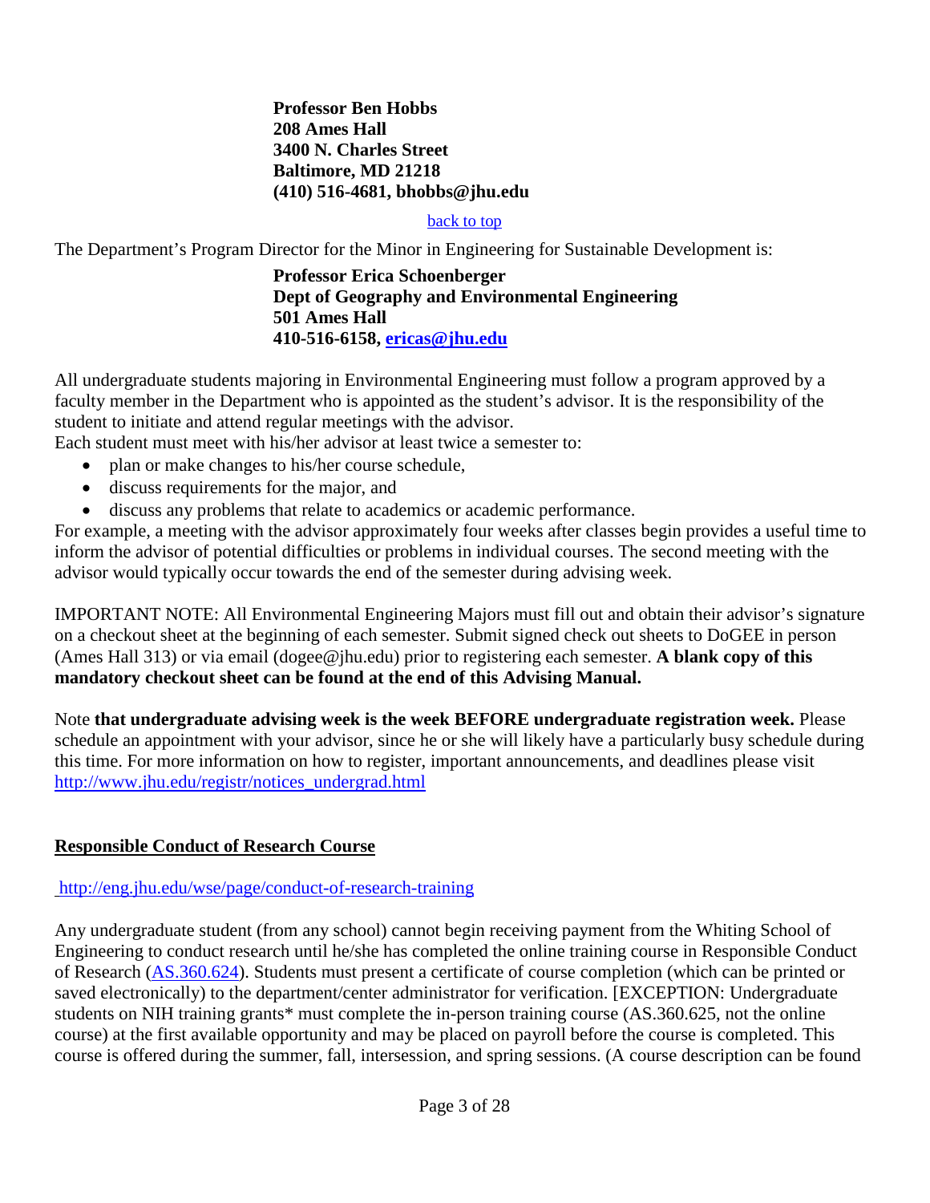**Professor Ben Hobbs 208 Ames Hall 3400 N. Charles Street Baltimore, MD 21218 (410) 516-4681, bhobbs@jhu.edu**

#### back to top

The Department's Program Director for the Minor in Engineering for Sustainable Development is:

#### **Professor Erica Schoenberger Dept of Geography and Environmental Engineering 501 Ames Hall 410-516-6158, ericas@jhu.edu**

All undergraduate students majoring in Environmental Engineering must follow a program approved by a faculty member in the Department who is appointed as the student's advisor. It is the responsibility of the student to initiate and attend regular meetings with the advisor.

Each student must meet with his/her advisor at least twice a semester to:

- plan or make changes to his/her course schedule,
- discuss requirements for the major, and
- discuss any problems that relate to academics or academic performance.

For example, a meeting with the advisor approximately four weeks after classes begin provides a useful time to inform the advisor of potential difficulties or problems in individual courses. The second meeting with the advisor would typically occur towards the end of the semester during advising week.

IMPORTANT NOTE: All Environmental Engineering Majors must fill out and obtain their advisor's signature on a checkout sheet at the beginning of each semester. Submit signed check out sheets to DoGEE in person (Ames Hall 313) or via email (dogee@jhu.edu) prior to registering each semester. **A blank copy of this mandatory checkout sheet can be found at the end of this Advising Manual.**

Note **that undergraduate advising week is the week BEFORE undergraduate registration week.** Please schedule an appointment with your advisor, since he or she will likely have a particularly busy schedule during this time. For more information on how to register, important announcements, and deadlines please visit http://www.jhu.edu/registr/notices\_undergrad.html

### **Responsible Conduct of Research Course**

#### http://eng.jhu.edu/wse/page/conduct-of-research-training

Any undergraduate student (from any school) cannot begin receiving payment from the Whiting School of Engineering to conduct research until he/she has completed the online training course in Responsible Conduct of Research (AS.360.624). Students must present a certificate of course completion (which can be printed or saved electronically) to the department/center administrator for verification. [EXCEPTION: Undergraduate students on NIH training grants<sup>\*</sup> must complete the in-person training course (AS.360.625, not the online course) at the first available opportunity and may be placed on payroll before the course is completed. This course is offered during the summer, fall, intersession, and spring sessions. (A course description can be found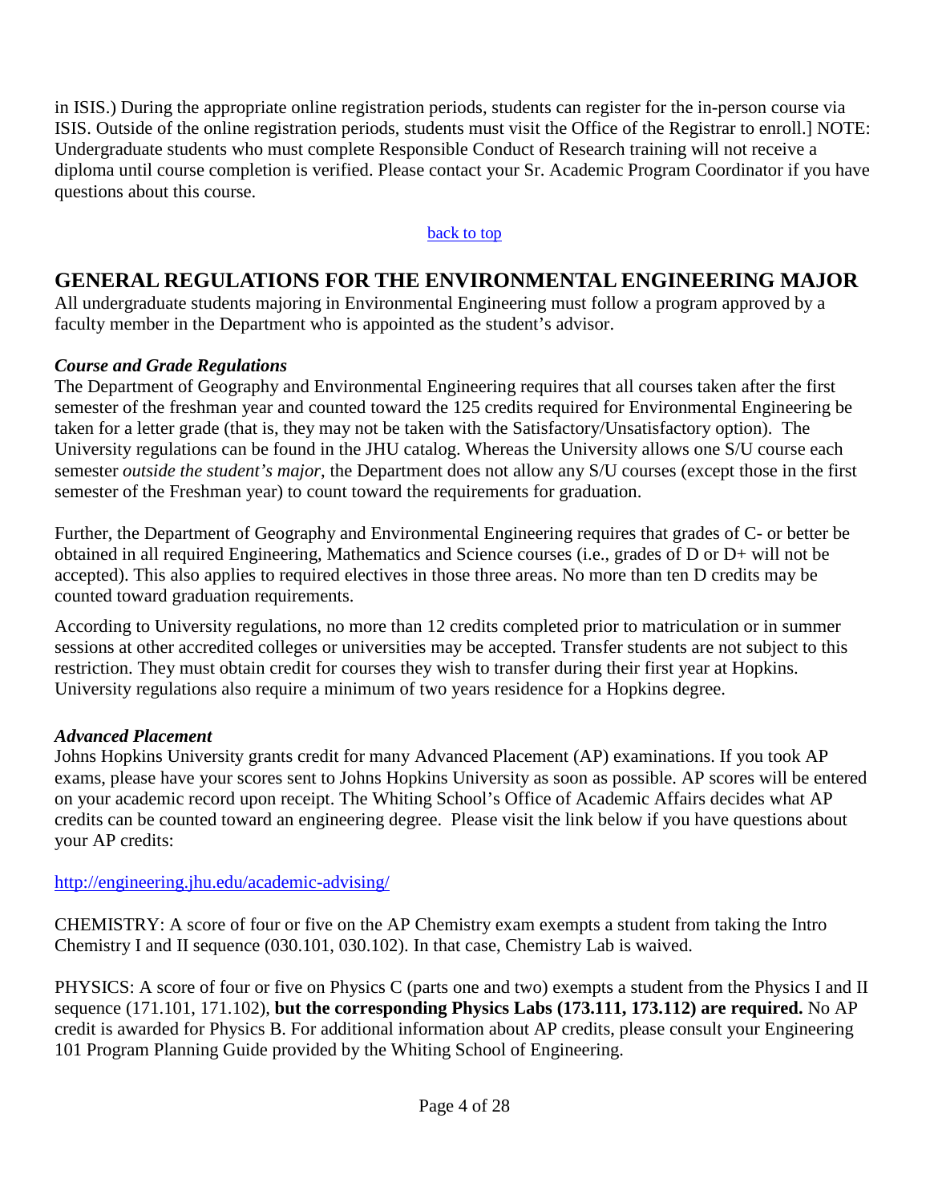in ISIS.) During the appropriate online registration periods, students can register for the in-person course via ISIS. Outside of the online registration periods, students must visit the Office of the Registrar to enroll.] NOTE: Undergraduate students who must complete Responsible Conduct of Research training will not receive a diploma until course completion is verified. Please contact your Sr. Academic Program Coordinator if you have questions about this course.

#### back to top

# **GENERAL REGULATIONS FOR THE ENVIRONMENTAL ENGINEERING MAJOR**

All undergraduate students majoring in Environmental Engineering must follow a program approved by a faculty member in the Department who is appointed as the student's advisor.

## *Course and Grade Regulations*

The Department of Geography and Environmental Engineering requires that all courses taken after the first semester of the freshman year and counted toward the 125 credits required for Environmental Engineering be taken for a letter grade (that is, they may not be taken with the Satisfactory/Unsatisfactory option). The University regulations can be found in the JHU catalog. Whereas the University allows one S/U course each semester *outside the student's major*, the Department does not allow any S/U courses (except those in the first semester of the Freshman year) to count toward the requirements for graduation.

Further, the Department of Geography and Environmental Engineering requires that grades of C- or better be obtained in all required Engineering, Mathematics and Science courses (i.e., grades of D or D+ will not be accepted). This also applies to required electives in those three areas. No more than ten D credits may be counted toward graduation requirements.

According to University regulations, no more than 12 credits completed prior to matriculation or in summer sessions at other accredited colleges or universities may be accepted. Transfer students are not subject to this restriction. They must obtain credit for courses they wish to transfer during their first year at Hopkins. University regulations also require a minimum of two years residence for a Hopkins degree.

## *Advanced Placement*

Johns Hopkins University grants credit for many Advanced Placement (AP) examinations. If you took AP exams, please have your scores sent to Johns Hopkins University as soon as possible. AP scores will be entered on your academic record upon receipt. The Whiting School's Office of Academic Affairs decides what AP credits can be counted toward an engineering degree. Please visit the link below if you have questions about your AP credits:

### http://engineering.jhu.edu/academic-advising/

CHEMISTRY: A score of four or five on the AP Chemistry exam exempts a student from taking the Intro Chemistry I and II sequence (030.101, 030.102). In that case, Chemistry Lab is waived.

PHYSICS: A score of four or five on Physics C (parts one and two) exempts a student from the Physics I and II sequence (171.101, 171.102), **but the corresponding Physics Labs (173.111, 173.112) are required.** No AP credit is awarded for Physics B. For additional information about AP credits, please consult your Engineering 101 Program Planning Guide provided by the Whiting School of Engineering.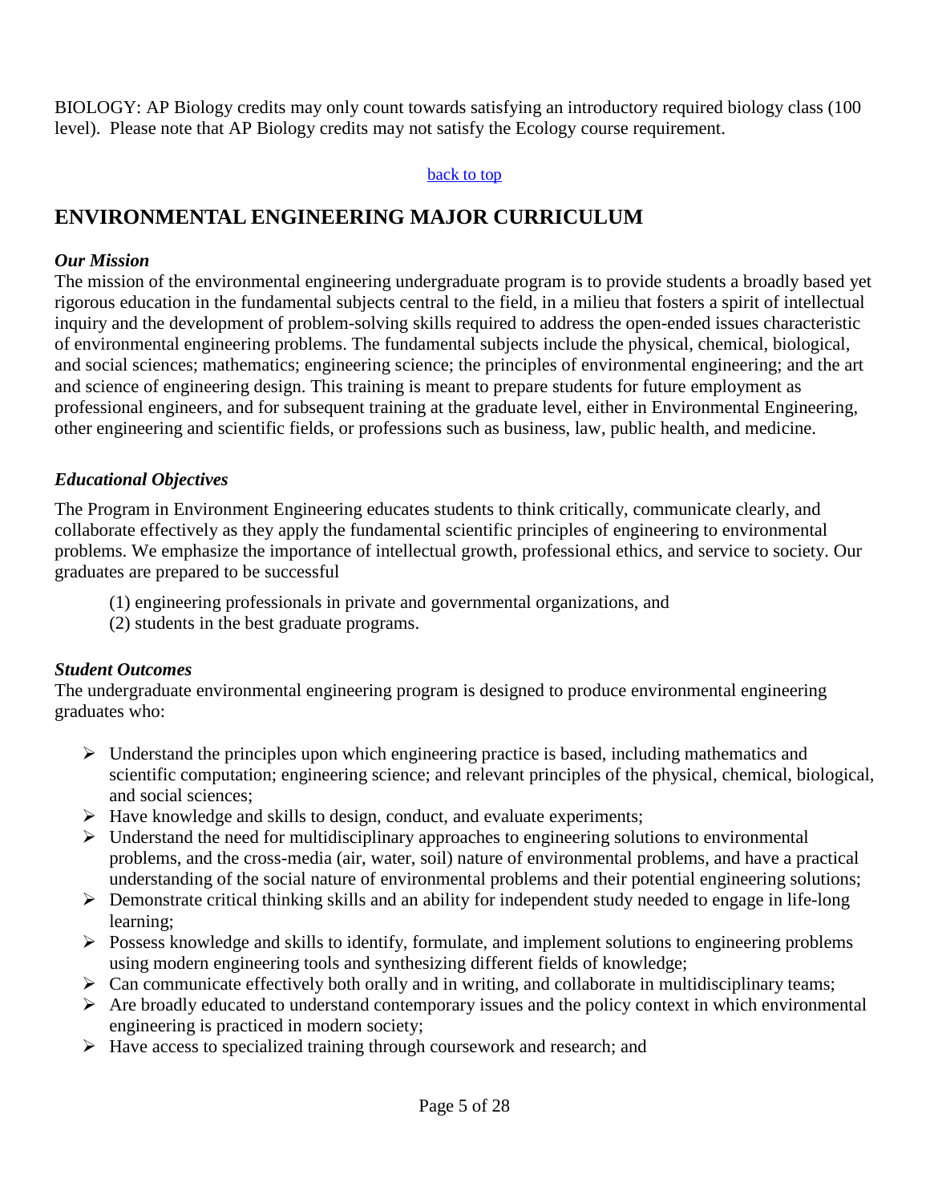BIOLOGY: AP Biology credits may only count towards satisfying an introductory required biology class (100 level). Please note that AP Biology credits may not satisfy the Ecology course requirement.

#### back to top

# **ENVIRONMENTAL ENGINEERING MAJOR CURRICULUM**

#### *Our Mission*

The mission of the environmental engineering undergraduate program is to provide students a broadly based yet rigorous education in the fundamental subjects central to the field, in a milieu that fosters a spirit of intellectual inquiry and the development of problem-solving skills required to address the open-ended issues characteristic of environmental engineering problems. The fundamental subjects include the physical, chemical, biological, and social sciences; mathematics; engineering science; the principles of environmental engineering; and the art and science of engineering design. This training is meant to prepare students for future employment as professional engineers, and for subsequent training at the graduate level, either in Environmental Engineering, other engineering and scientific fields, or professions such as business, law, public health, and medicine.

### *Educational Objectives*

The Program in Environment Engineering educates students to think critically, communicate clearly, and collaborate effectively as they apply the fundamental scientific principles of engineering to environmental problems. We emphasize the importance of intellectual growth, professional ethics, and service to society. Our graduates are prepared to be successful

- (1) engineering professionals in private and governmental organizations, and
- (2) students in the best graduate programs.

## *Student Outcomes*

The undergraduate environmental engineering program is designed to produce environmental engineering graduates who:

- $\triangleright$  Understand the principles upon which engineering practice is based, including mathematics and scientific computation; engineering science; and relevant principles of the physical, chemical, biological, and social sciences;
- $\triangleright$  Have knowledge and skills to design, conduct, and evaluate experiments;
- $\triangleright$  Understand the need for multidisciplinary approaches to engineering solutions to environmental problems, and the cross-media (air, water, soil) nature of environmental problems, and have a practical understanding of the social nature of environmental problems and their potential engineering solutions;
- $\triangleright$  Demonstrate critical thinking skills and an ability for independent study needed to engage in life-long learning;
- $\triangleright$  Possess knowledge and skills to identify, formulate, and implement solutions to engineering problems using modern engineering tools and synthesizing different fields of knowledge;
- $\triangleright$  Can communicate effectively both orally and in writing, and collaborate in multidisciplinary teams;
- $\triangleright$  Are broadly educated to understand contemporary issues and the policy context in which environmental engineering is practiced in modern society;
- $\triangleright$  Have access to specialized training through coursework and research; and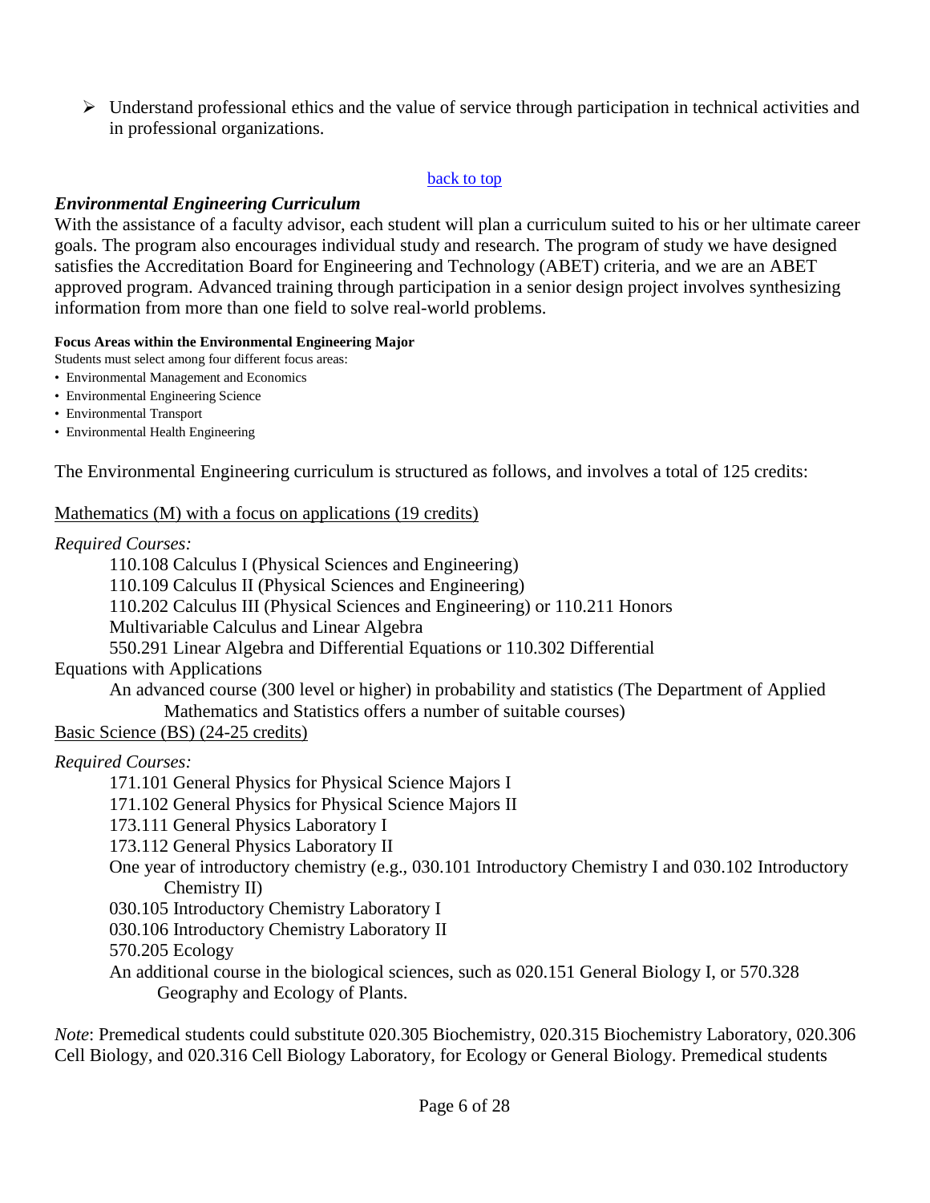$\triangleright$  Understand professional ethics and the value of service through participation in technical activities and in professional organizations.

#### back to top

### *Environmental Engineering Curriculum*

With the assistance of a faculty advisor, each student will plan a curriculum suited to his or her ultimate career goals. The program also encourages individual study and research. The program of study we have designed satisfies the Accreditation Board for Engineering and Technology (ABET) criteria, and we are an ABET approved program. Advanced training through participation in a senior design project involves synthesizing information from more than one field to solve real-world problems.

#### **Focus Areas within the Environmental Engineering Major**

Students must select among four different focus areas:

- Environmental Management and Economics
- Environmental Engineering Science
- Environmental Transport
- Environmental Health Engineering

The Environmental Engineering curriculum is structured as follows, and involves a total of 125 credits:

#### Mathematics (M) with a focus on applications (19 credits)

#### *Required Courses:*

110.108 Calculus I (Physical Sciences and Engineering)

110.109 Calculus II (Physical Sciences and Engineering)

110.202 Calculus III (Physical Sciences and Engineering) or 110.211 Honors

Multivariable Calculus and Linear Algebra

550.291 Linear Algebra and Differential Equations or 110.302 Differential

### Equations with Applications

An advanced course (300 level or higher) in probability and statistics (The Department of Applied Mathematics and Statistics offers a number of suitable courses)

### Basic Science (BS) (24-25 credits)

### *Required Courses:*

- 171.101 General Physics for Physical Science Majors I
- 171.102 General Physics for Physical Science Majors II
- 173.111 General Physics Laboratory I
- 173.112 General Physics Laboratory II
- One year of introductory chemistry (e.g., 030.101 Introductory Chemistry I and 030.102 Introductory Chemistry II)
- 030.105 Introductory Chemistry Laboratory I
- 030.106 Introductory Chemistry Laboratory II

570.205 Ecology

An additional course in the biological sciences, such as 020.151 General Biology I, or 570.328 Geography and Ecology of Plants.

*Note*: Premedical students could substitute 020.305 Biochemistry, 020.315 Biochemistry Laboratory, 020.306 Cell Biology, and 020.316 Cell Biology Laboratory, for Ecology or General Biology. Premedical students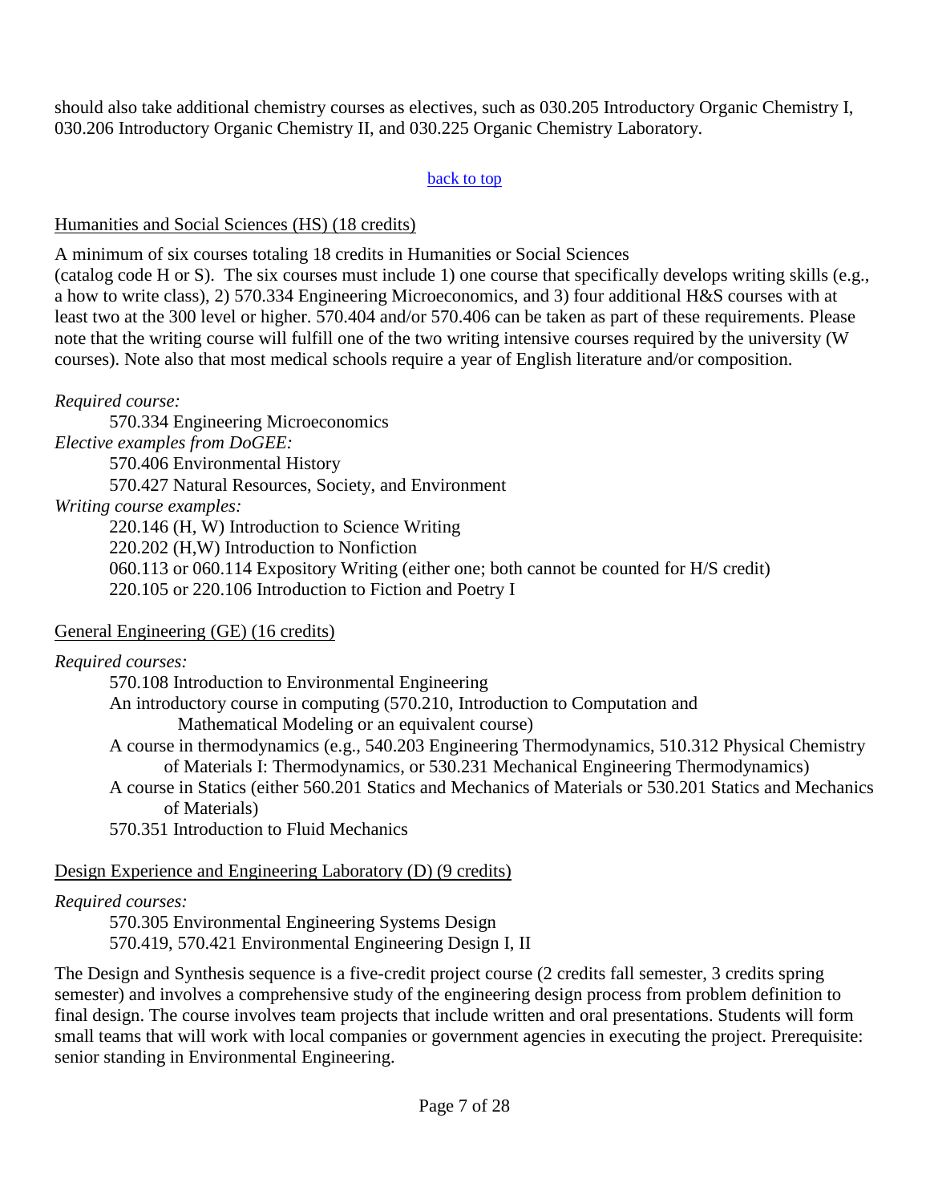should also take additional chemistry courses as electives, such as 030.205 Introductory Organic Chemistry I, 030.206 Introductory Organic Chemistry II, and 030.225 Organic Chemistry Laboratory.

#### back to top

## Humanities and Social Sciences (HS) (18 credits)

A minimum of six courses totaling 18 credits in Humanities or Social Sciences

(catalog code H or S). The six courses must include 1) one course that specifically develops writing skills (e.g., a how to write class), 2) 570.334 Engineering Microeconomics, and 3) four additional H&S courses with at least two at the 300 level or higher. 570.404 and/or 570.406 can be taken as part of these requirements. Please note that the writing course will fulfill one of the two writing intensive courses required by the university (W courses). Note also that most medical schools require a year of English literature and/or composition.

*Required course:*

570.334 Engineering Microeconomics *Elective examples from DoGEE:* 570.406 Environmental History 570.427 Natural Resources, Society, and Environment *Writing course examples:* 220.146 (H, W) Introduction to Science Writing 220.202 (H,W) Introduction to Nonfiction 060.113 or 060.114 Expository Writing (either one; both cannot be counted for H/S credit) 220.105 or 220.106 Introduction to Fiction and Poetry I

## General Engineering (GE) (16 credits)

## *Required courses:*

570.108 Introduction to Environmental Engineering An introductory course in computing (570.210, Introduction to Computation and Mathematical Modeling or an equivalent course) A course in thermodynamics (e.g., 540.203 Engineering Thermodynamics, 510.312 Physical Chemistry of Materials I: Thermodynamics, or 530.231 Mechanical Engineering Thermodynamics) A course in Statics (either 560.201 Statics and Mechanics of Materials or 530.201 Statics and Mechanics of Materials)

570.351 Introduction to Fluid Mechanics

## Design Experience and Engineering Laboratory (D) (9 credits)

## *Required courses:*

570.305 Environmental Engineering Systems Design 570.419, 570.421 Environmental Engineering Design I, II

The Design and Synthesis sequence is a five-credit project course (2 credits fall semester, 3 credits spring semester) and involves a comprehensive study of the engineering design process from problem definition to final design. The course involves team projects that include written and oral presentations. Students will form small teams that will work with local companies or government agencies in executing the project. Prerequisite: senior standing in Environmental Engineering.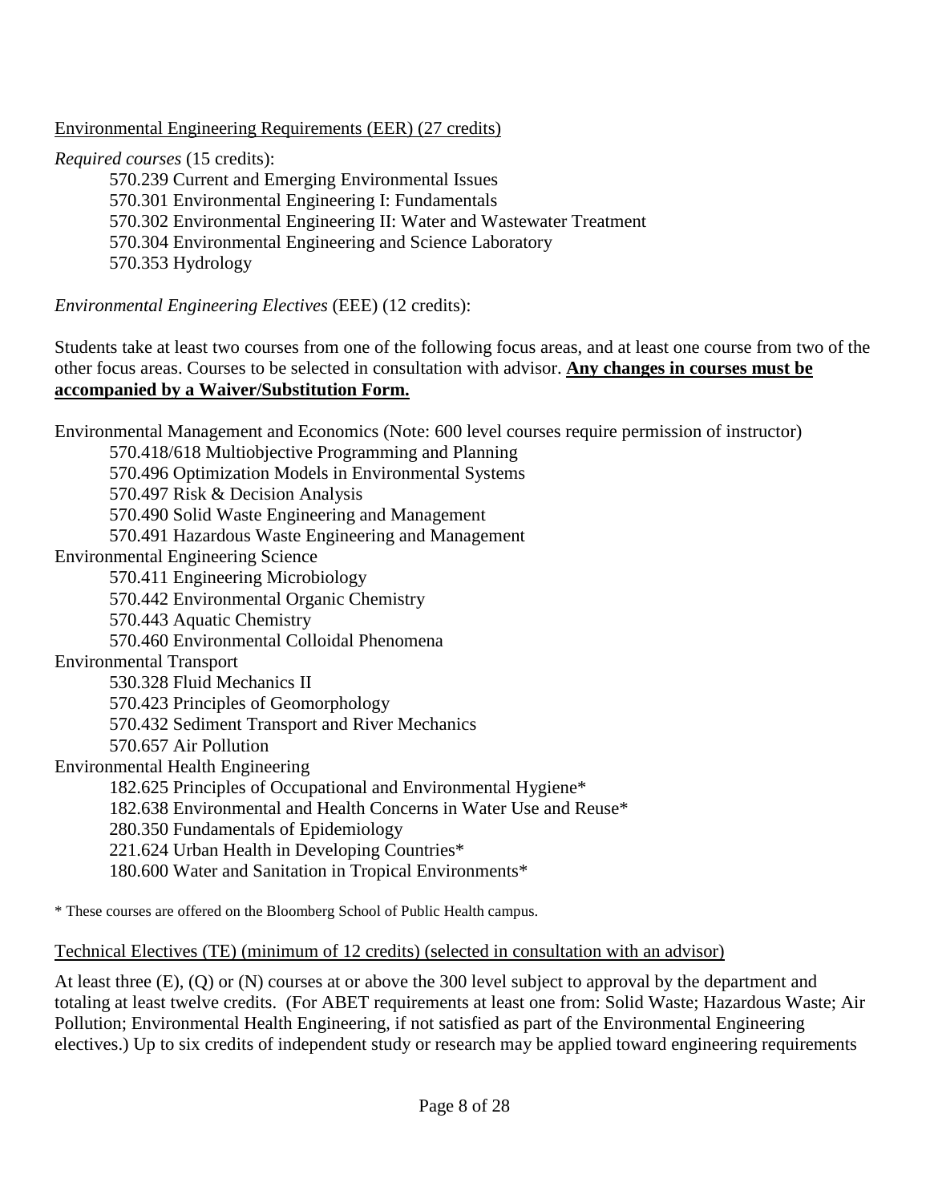Environmental Engineering Requirements (EER) (27 credits)

*Required courses* (15 credits):

570.239 Current and Emerging Environmental Issues 570.301 Environmental Engineering I: Fundamentals 570.302 Environmental Engineering II: Water and Wastewater Treatment 570.304 Environmental Engineering and Science Laboratory 570.353 Hydrology

*Environmental Engineering Electives* (EEE) (12 credits):

Students take at least two courses from one of the following focus areas, and at least one course from two of the other focus areas. Courses to be selected in consultation with advisor. **Any changes in courses must be accompanied by a Waiver/Substitution Form.**

Environmental Management and Economics (Note: 600 level courses require permission of instructor) 570.418/618 Multiobjective Programming and Planning 570.496 Optimization Models in Environmental Systems 570.497 Risk & Decision Analysis 570.490 Solid Waste Engineering and Management 570.491 Hazardous Waste Engineering and Management Environmental Engineering Science 570.411 Engineering Microbiology 570.442 Environmental Organic Chemistry 570.443 Aquatic Chemistry 570.460 Environmental Colloidal Phenomena Environmental Transport 530.328 Fluid Mechanics II 570.423 Principles of Geomorphology 570.432 Sediment Transport and River Mechanics 570.657 Air Pollution Environmental Health Engineering 182.625 Principles of Occupational and Environmental Hygiene\* 182.638 Environmental and Health Concerns in Water Use and Reuse\* 280.350 Fundamentals of Epidemiology 221.624 Urban Health in Developing Countries\* 180.600 Water and Sanitation in Tropical Environments\*

\* These courses are offered on the Bloomberg School of Public Health campus.

Technical Electives (TE) (minimum of 12 credits) (selected in consultation with an advisor)

At least three (E), (Q) or (N) courses at or above the 300 level subject to approval by the department and totaling at least twelve credits. (For ABET requirements at least one from: Solid Waste; Hazardous Waste; Air Pollution; Environmental Health Engineering, if not satisfied as part of the Environmental Engineering electives.) Up to six credits of independent study or research may be applied toward engineering requirements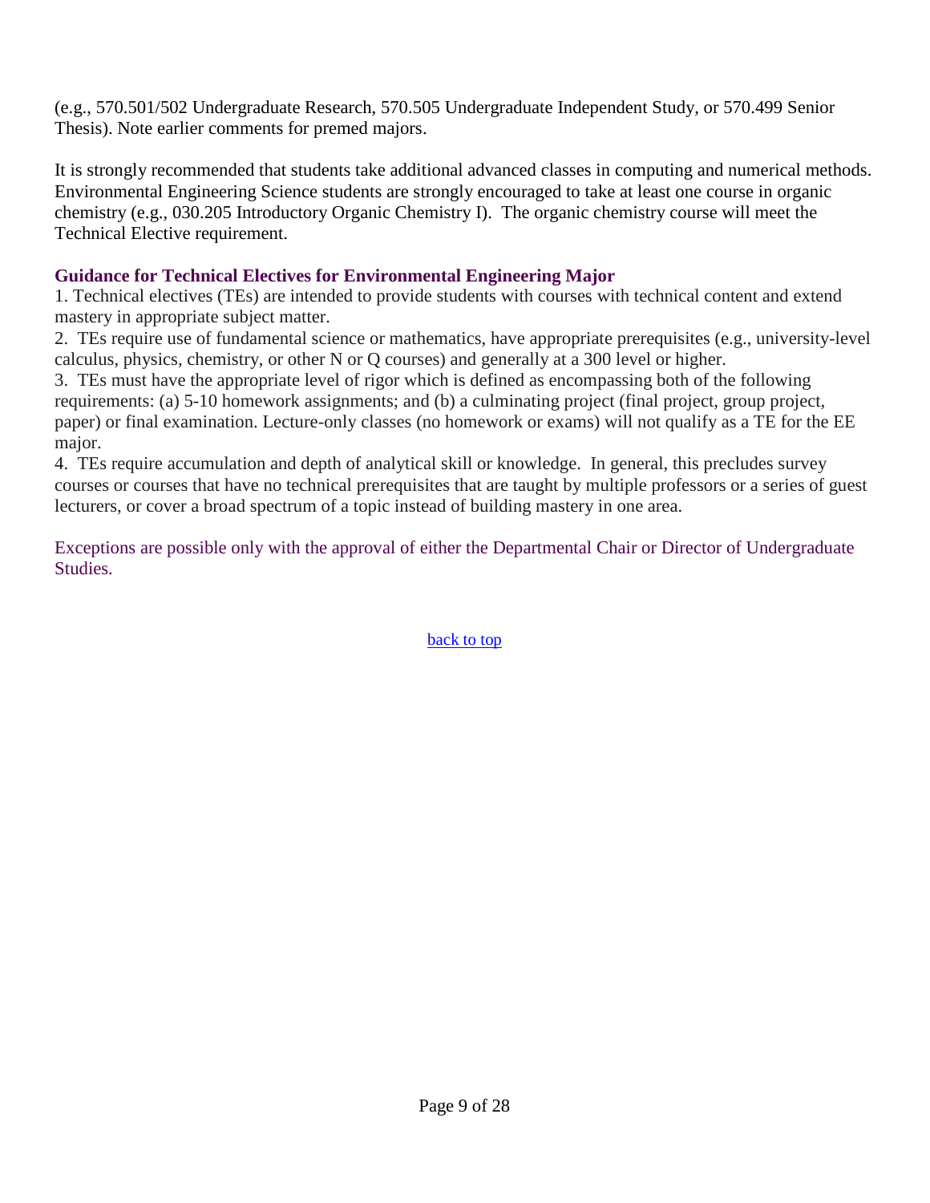(e.g., 570.501/502 Undergraduate Research, 570.505 Undergraduate Independent Study, or 570.499 Senior Thesis). Note earlier comments for premed majors.

It is strongly recommended that students take additional advanced classes in computing and numerical methods. Environmental Engineering Science students are strongly encouraged to take at least one course in organic chemistry (e.g., 030.205 Introductory Organic Chemistry I). The organic chemistry course will meet the Technical Elective requirement.

## **Guidance for Technical Electives for Environmental Engineering Major**

1. Technical electives (TEs) are intended to provide students with courses with technical content and extend mastery in appropriate subject matter.

2. TEs require use of fundamental science or mathematics, have appropriate prerequisites (e.g., university-level calculus, physics, chemistry, or other N or Q courses) and generally at a 300 level or higher.

3. TEs must have the appropriate level of rigor which is defined as encompassing both of the following requirements: (a) 5-10 homework assignments; and (b) a culminating project (final project, group project, paper) or final examination. Lecture-only classes (no homework or exams) will not qualify as a TE for the EE major.

4. TEs require accumulation and depth of analytical skill or knowledge. In general, this precludes survey courses or courses that have no technical prerequisites that are taught by multiple professors or a series of guest lecturers, or cover a broad spectrum of a topic instead of building mastery in one area.

Exceptions are possible only with the approval of either the Departmental Chair or Director of Undergraduate Studies.

back to top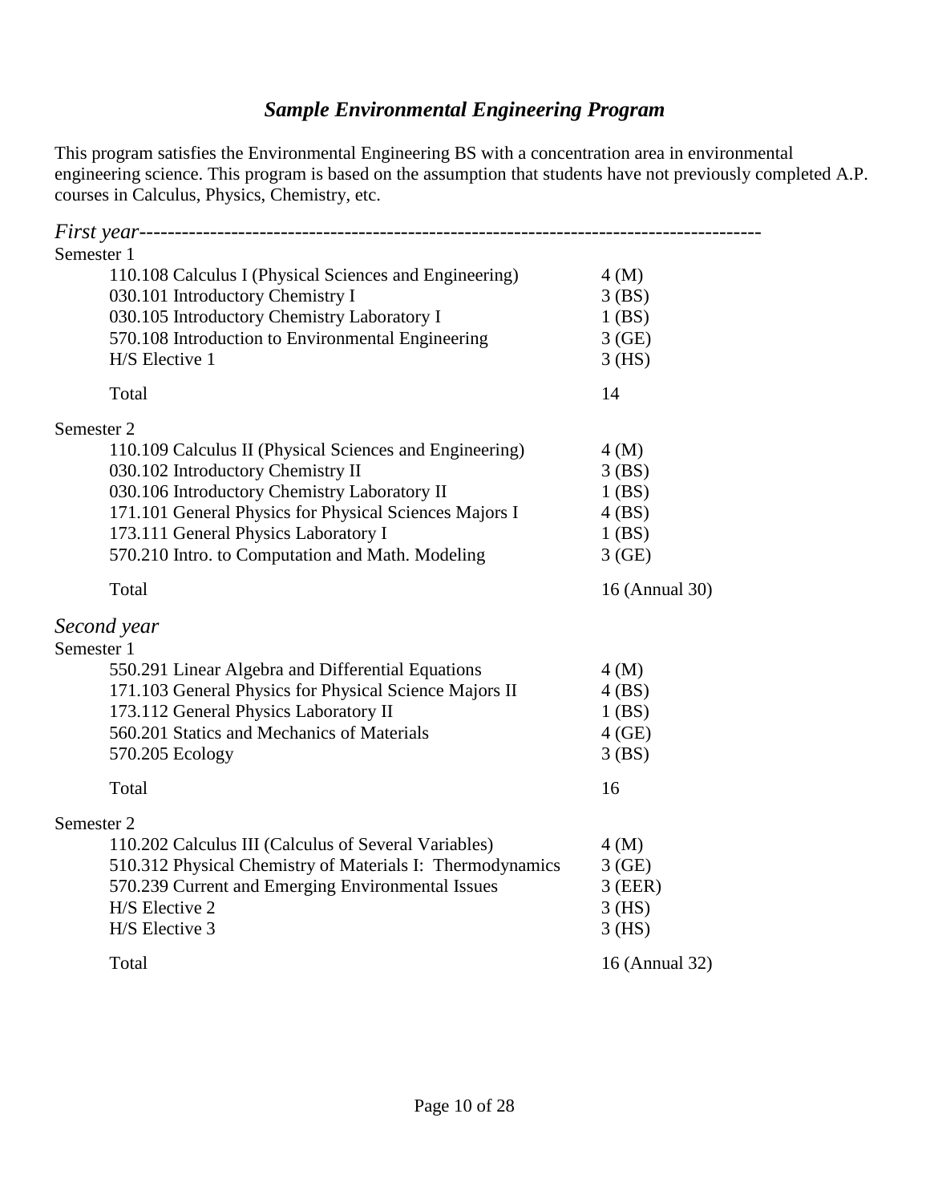# *Sample Environmental Engineering Program*

This program satisfies the Environmental Engineering BS with a concentration area in environmental engineering science. This program is based on the assumption that students have not previously completed A.P. courses in Calculus, Physics, Chemistry, etc.

| Semester 1 |                                                           |                |
|------------|-----------------------------------------------------------|----------------|
|            | 110.108 Calculus I (Physical Sciences and Engineering)    | 4(M)           |
|            | 030.101 Introductory Chemistry I                          | $3$ (BS)       |
|            | 030.105 Introductory Chemistry Laboratory I               | $1$ (BS)       |
|            | 570.108 Introduction to Environmental Engineering         | 3(GE)          |
|            | H/S Elective 1                                            | $3$ (HS)       |
|            | Total                                                     | 14             |
| Semester 2 |                                                           |                |
|            | 110.109 Calculus II (Physical Sciences and Engineering)   | 4(M)           |
|            | 030.102 Introductory Chemistry II                         | $3$ (BS)       |
|            | 030.106 Introductory Chemistry Laboratory II              | $1$ (BS)       |
|            | 171.101 General Physics for Physical Sciences Majors I    | 4(BS)          |
|            | 173.111 General Physics Laboratory I                      | $1$ (BS)       |
|            | 570.210 Intro. to Computation and Math. Modeling          | 3(GE)          |
|            | Total                                                     | 16 (Annual 30) |
|            | Second year                                               |                |
| Semester 1 |                                                           |                |
|            | 550.291 Linear Algebra and Differential Equations         | 4(M)           |
|            | 171.103 General Physics for Physical Science Majors II    | 4(BS)          |
|            | 173.112 General Physics Laboratory II                     | $1$ (BS)       |
|            | 560.201 Statics and Mechanics of Materials                | $4$ (GE)       |
|            | 570.205 Ecology                                           | $3$ (BS)       |
|            |                                                           |                |
|            | Total                                                     | 16             |
| Semester 2 |                                                           |                |
|            | 110.202 Calculus III (Calculus of Several Variables)      | 4(M)           |
|            | 510.312 Physical Chemistry of Materials I: Thermodynamics | 3(GE)          |
|            | 570.239 Current and Emerging Environmental Issues         | $3$ (EER)      |
|            | H/S Elective 2                                            | $3$ (HS)       |
|            | H/S Elective 3                                            | $3$ (HS)       |
|            | Total                                                     | 16 (Annual 32) |
|            |                                                           |                |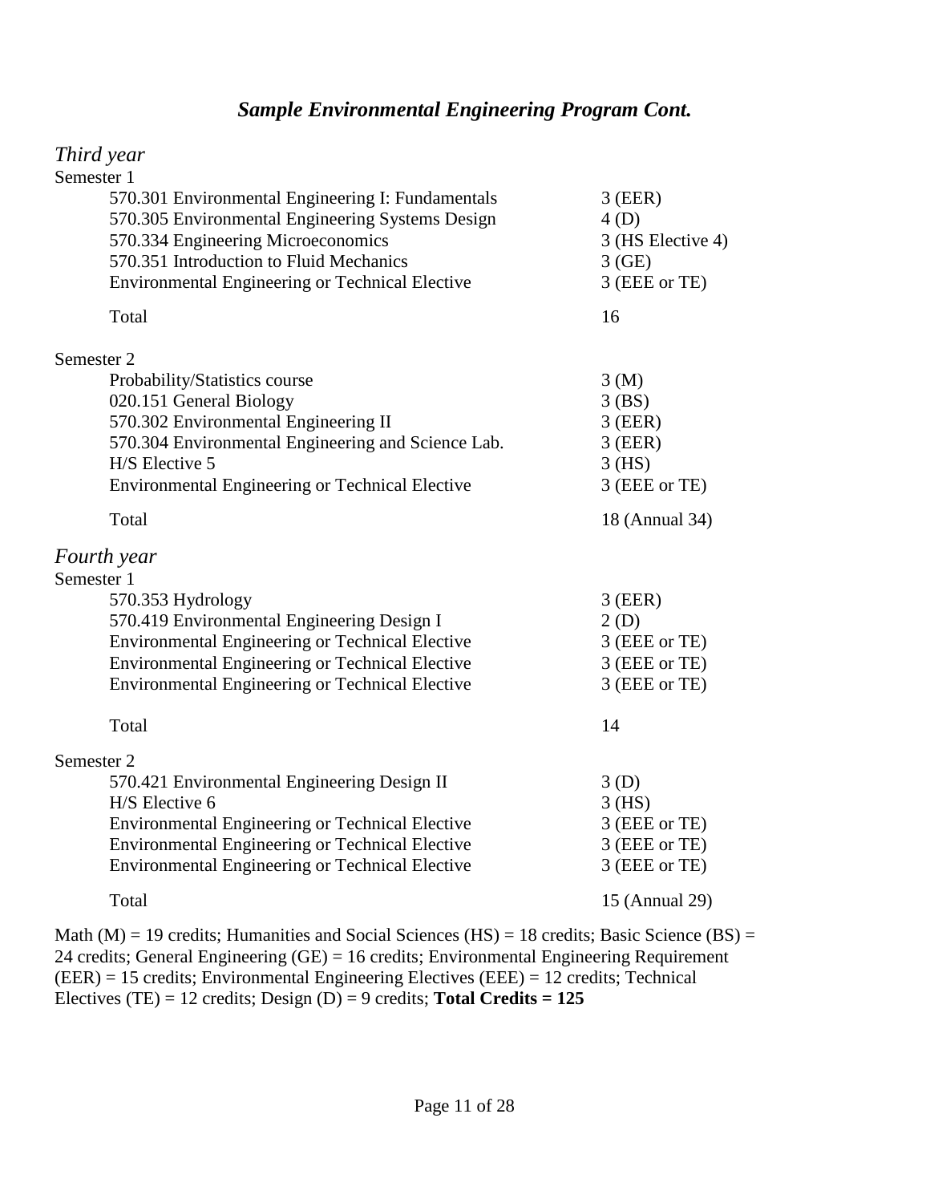## *Sample Environmental Engineering Program Cont.*

## *Third year*

| Semester 1                                             |                   |
|--------------------------------------------------------|-------------------|
| 570.301 Environmental Engineering I: Fundamentals      | $3$ (EER)         |
| 570.305 Environmental Engineering Systems Design       | 4(D)              |
| 570.334 Engineering Microeconomics                     | 3 (HS Elective 4) |
| 570.351 Introduction to Fluid Mechanics                | 3(GE)             |
| <b>Environmental Engineering or Technical Elective</b> | 3 (EEE or TE)     |
| Total                                                  | 16                |
| Semester 2                                             |                   |
| Probability/Statistics course                          | 3(M)              |
| 020.151 General Biology                                | $3$ (BS)          |
| 570.302 Environmental Engineering II                   | $3$ (EER)         |
| 570.304 Environmental Engineering and Science Lab.     | $3$ (EER)         |
| H/S Elective 5                                         | $3$ (HS)          |
| Environmental Engineering or Technical Elective        | 3 (EEE or TE)     |
| Total                                                  | 18 (Annual 34)    |
| Fourth year                                            |                   |
| Semester 1                                             |                   |
| 570.353 Hydrology                                      | $3$ (EER)         |
| 570.419 Environmental Engineering Design I             | 2(D)              |
| <b>Environmental Engineering or Technical Elective</b> | 3 (EEE or TE)     |
| <b>Environmental Engineering or Technical Elective</b> | 3 (EEE or TE)     |
| Environmental Engineering or Technical Elective        | 3 (EEE or TE)     |
| Total                                                  | 14                |
| Semester 2                                             |                   |
| 570.421 Environmental Engineering Design II            | 3(D)              |
| H/S Elective 6                                         | $3$ (HS)          |
| <b>Environmental Engineering or Technical Elective</b> | 3 (EEE or TE)     |
| <b>Environmental Engineering or Technical Elective</b> | 3 (EEE or TE)     |
| <b>Environmental Engineering or Technical Elective</b> | 3 (EEE or TE)     |
| Total                                                  | 15 (Annual 29)    |
|                                                        |                   |

Math (M) = 19 credits; Humanities and Social Sciences (HS) = 18 credits; Basic Science (BS) = 24 credits; General Engineering (GE) = 16 credits; Environmental Engineering Requirement (EER) = 15 credits; Environmental Engineering Electives (EEE) = 12 credits; Technical Electives (TE) = 12 credits; Design (D) = 9 credits; **Total Credits = 125**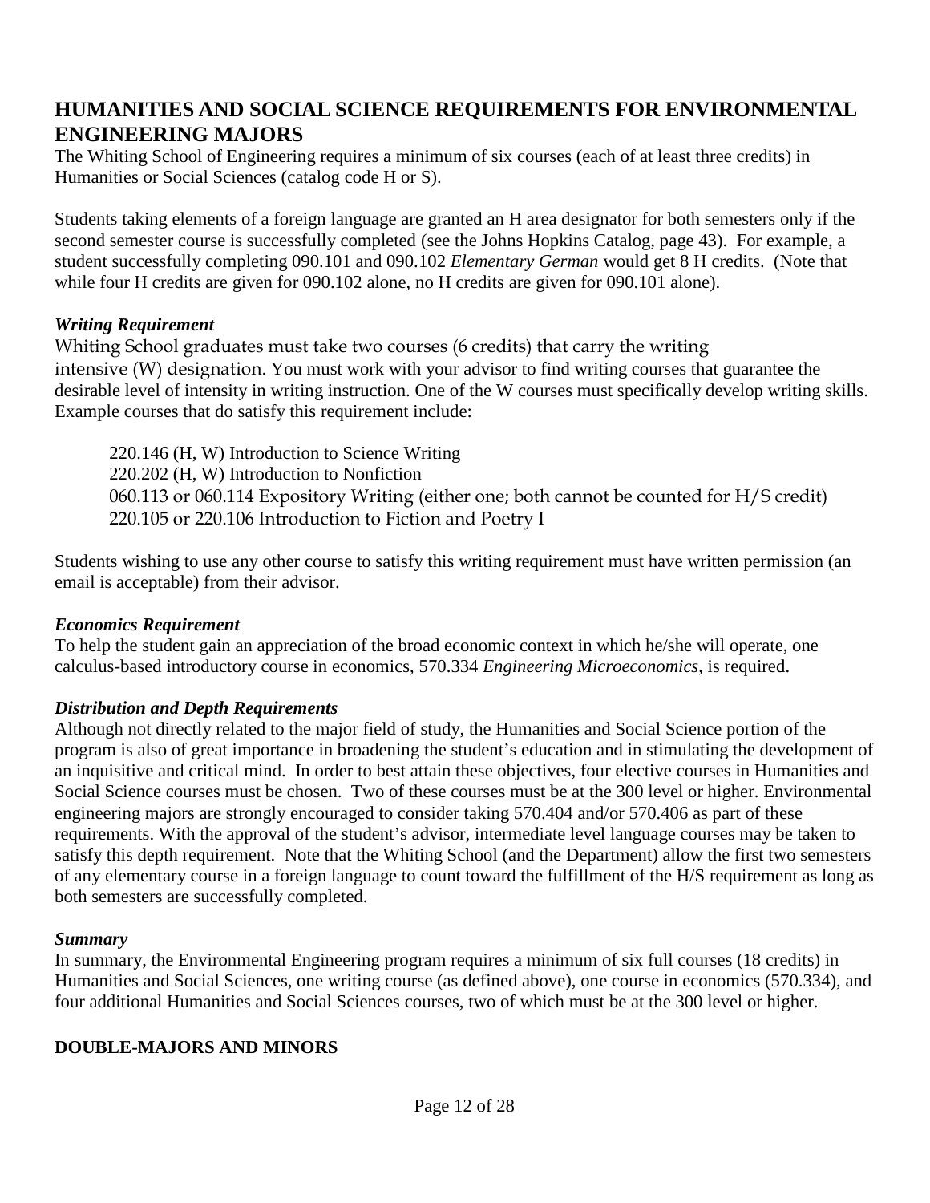# **HUMANITIES AND SOCIAL SCIENCE REQUIREMENTS FOR ENVIRONMENTAL ENGINEERING MAJORS**

The Whiting School of Engineering requires a minimum of six courses (each of at least three credits) in Humanities or Social Sciences (catalog code H or S).

Students taking elements of a foreign language are granted an H area designator for both semesters only if the second semester course is successfully completed (see the Johns Hopkins Catalog, page 43). For example, a student successfully completing 090.101 and 090.102 *Elementary German* would get 8 H credits. (Note that while four H credits are given for 090.102 alone, no H credits are given for 090.101 alone).

## *Writing Requirement*

Whiting School graduates must take two courses (6 credits) that carry the writing intensive (W) designation. You must work with your advisor to find writing courses that guarantee the desirable level of intensity in writing instruction. One of the W courses must specifically develop writing skills. Example courses that do satisfy this requirement include:

220.146 (H, W) Introduction to Science Writing 220.202 (H, W) Introduction to Nonfiction 060.113 or 060.114 Expository Writing (either one; both cannot be counted for H/S credit) 220.105 or 220.106 Introduction to Fiction and Poetry I

Students wishing to use any other course to satisfy this writing requirement must have written permission (an email is acceptable) from their advisor.

## *Economics Requirement*

To help the student gain an appreciation of the broad economic context in which he/she will operate, one calculus-based introductory course in economics, 570.334 *Engineering Microeconomics*, is required.

## *Distribution and Depth Requirements*

Although not directly related to the major field of study, the Humanities and Social Science portion of the program is also of great importance in broadening the student's education and in stimulating the development of an inquisitive and critical mind. In order to best attain these objectives, four elective courses in Humanities and Social Science courses must be chosen. Two of these courses must be at the 300 level or higher. Environmental engineering majors are strongly encouraged to consider taking 570.404 and/or 570.406 as part of these requirements. With the approval of the student's advisor, intermediate level language courses may be taken to satisfy this depth requirement. Note that the Whiting School (and the Department) allow the first two semesters of any elementary course in a foreign language to count toward the fulfillment of the H/S requirement as long as both semesters are successfully completed.

### *Summary*

In summary, the Environmental Engineering program requires a minimum of six full courses (18 credits) in Humanities and Social Sciences, one writing course (as defined above), one course in economics (570.334), and four additional Humanities and Social Sciences courses, two of which must be at the 300 level or higher.

## **DOUBLE-MAJORS AND MINORS**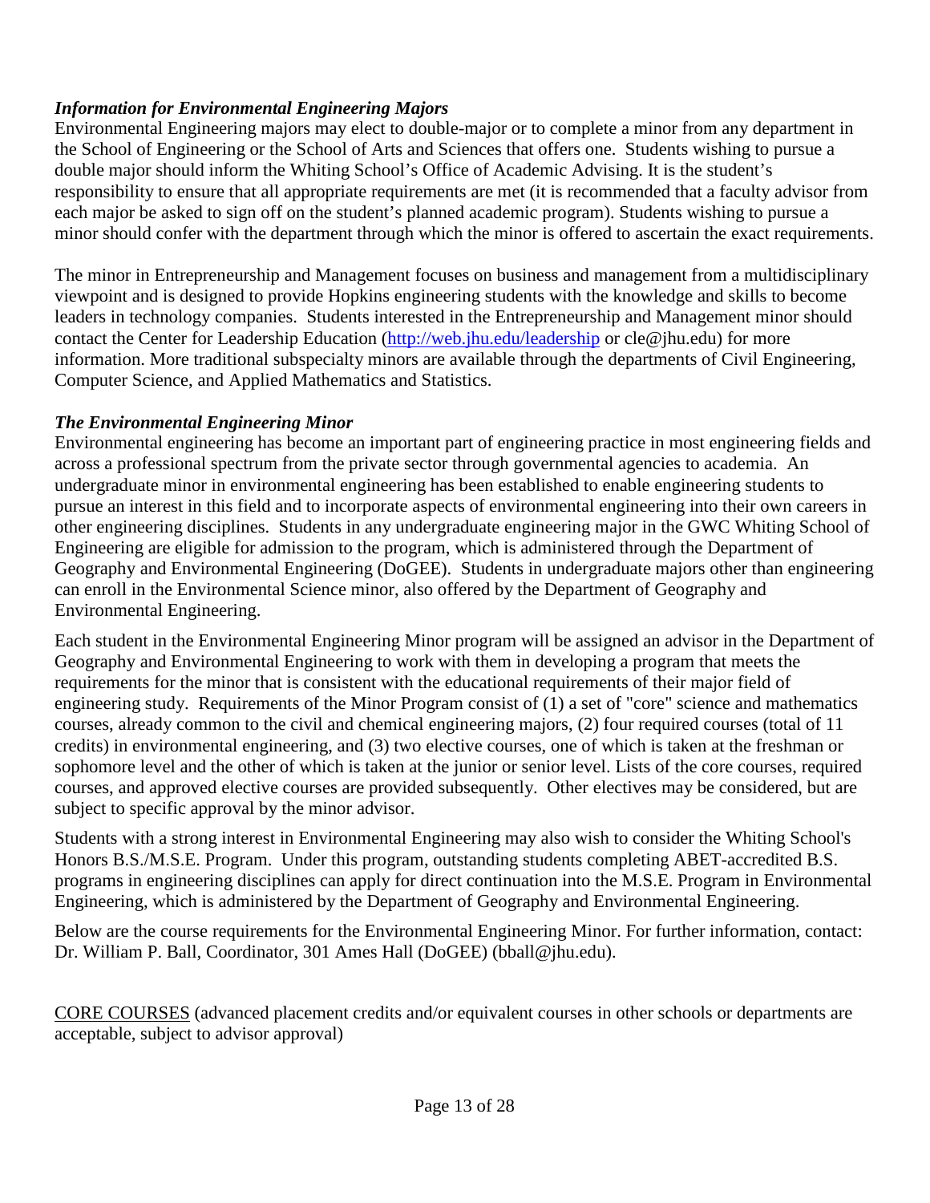## *Information for Environmental Engineering Majors*

Environmental Engineering majors may elect to double-major or to complete a minor from any department in the School of Engineering or the School of Arts and Sciences that offers one. Students wishing to pursue a double major should inform the Whiting School's Office of Academic Advising. It is the student's responsibility to ensure that all appropriate requirements are met (it is recommended that a faculty advisor from each major be asked to sign off on the student's planned academic program). Students wishing to pursue a minor should confer with the department through which the minor is offered to ascertain the exact requirements.

The minor in Entrepreneurship and Management focuses on business and management from a multidisciplinary viewpoint and is designed to provide Hopkins engineering students with the knowledge and skills to become leaders in technology companies. Students interested in the Entrepreneurship and Management minor should contact the Center for Leadership Education (http://web.jhu.edu/leadership or cle@jhu.edu) for more information. More traditional subspecialty minors are available through the departments of Civil Engineering, Computer Science, and Applied Mathematics and Statistics.

## *The Environmental Engineering Minor*

Environmental engineering has become an important part of engineering practice in most engineering fields and across a professional spectrum from the private sector through governmental agencies to academia. An undergraduate minor in environmental engineering has been established to enable engineering students to pursue an interest in this field and to incorporate aspects of environmental engineering into their own careers in other engineering disciplines. Students in any undergraduate engineering major in the GWC Whiting School of Engineering are eligible for admission to the program, which is administered through the Department of Geography and Environmental Engineering (DoGEE). Students in undergraduate majors other than engineering can enroll in the Environmental Science minor, also offered by the Department of Geography and Environmental Engineering.

Each student in the Environmental Engineering Minor program will be assigned an advisor in the Department of Geography and Environmental Engineering to work with them in developing a program that meets the requirements for the minor that is consistent with the educational requirements of their major field of engineering study. Requirements of the Minor Program consist of (1) a set of "core" science and mathematics courses, already common to the civil and chemical engineering majors, (2) four required courses (total of 11 credits) in environmental engineering, and (3) two elective courses, one of which is taken at the freshman or sophomore level and the other of which is taken at the junior or senior level. Lists of the core courses, required courses, and approved elective courses are provided subsequently. Other electives may be considered, but are subject to specific approval by the minor advisor.

Students with a strong interest in Environmental Engineering may also wish to consider the Whiting School's Honors B.S./M.S.E. Program. Under this program, outstanding students completing ABET-accredited B.S. programs in engineering disciplines can apply for direct continuation into the M.S.E. Program in Environmental Engineering, which is administered by the Department of Geography and Environmental Engineering.

Below are the course requirements for the Environmental Engineering Minor. For further information, contact: Dr. William P. Ball, Coordinator, 301 Ames Hall (DoGEE) (bball@jhu.edu).

CORE COURSES (advanced placement credits and/or equivalent courses in other schools or departments are acceptable, subject to advisor approval)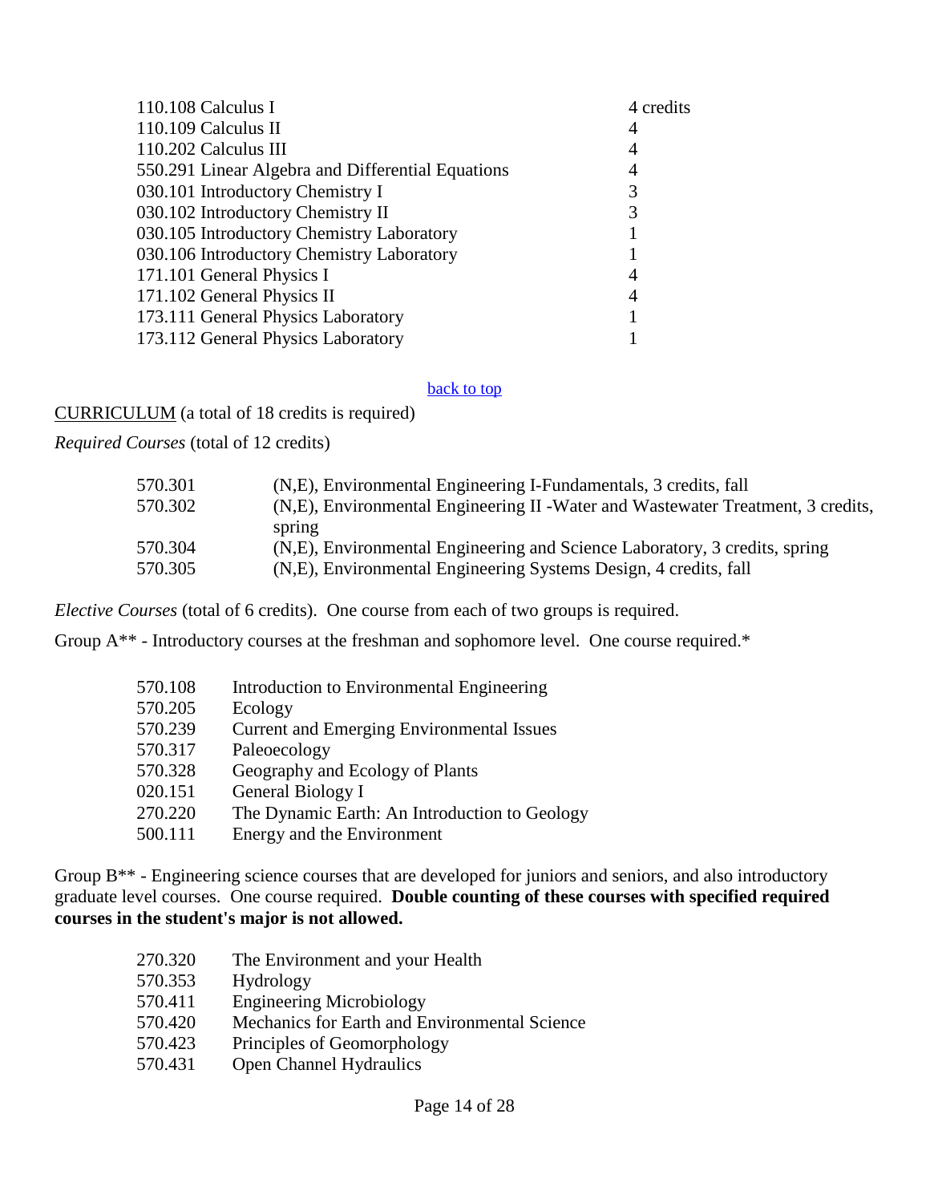| 110.108 Calculus I                                | 4 credits |
|---------------------------------------------------|-----------|
| 110.109 Calculus II                               | 4         |
| 110.202 Calculus III                              | 4         |
| 550.291 Linear Algebra and Differential Equations | 4         |
| 030.101 Introductory Chemistry I                  | 3         |
| 030.102 Introductory Chemistry II                 | 3         |
| 030.105 Introductory Chemistry Laboratory         |           |
| 030.106 Introductory Chemistry Laboratory         |           |
| 171.101 General Physics I                         | 4         |
| 171.102 General Physics II                        | 4         |
| 173.111 General Physics Laboratory                |           |
| 173.112 General Physics Laboratory                |           |
|                                                   |           |

#### back to top

CURRICULUM (a total of 18 credits is required)

*Required Courses* (total of 12 credits)

| 570.301 | (N,E), Environmental Engineering I-Fundamentals, 3 credits, fall                 |
|---------|----------------------------------------------------------------------------------|
| 570.302 | (N,E), Environmental Engineering II - Water and Wastewater Treatment, 3 credits, |
|         | spring                                                                           |
| 570.304 | (N,E), Environmental Engineering and Science Laboratory, 3 credits, spring       |
| 570.305 | (N,E), Environmental Engineering Systems Design, 4 credits, fall                 |

*Elective Courses* (total of 6 credits). One course from each of two groups is required.

Group A\*\* - Introductory courses at the freshman and sophomore level. One course required.\*

| 570.108 | Introduction to Environmental Engineering        |
|---------|--------------------------------------------------|
| 570.205 | Ecology                                          |
| 570.239 | <b>Current and Emerging Environmental Issues</b> |
| 570.317 | Paleoecology                                     |
| 570.328 | Geography and Ecology of Plants                  |
| 020.151 | General Biology I                                |
| 270.220 | The Dynamic Earth: An Introduction to Geology    |
| 500.111 | Energy and the Environment                       |

Group B\*\* - Engineering science courses that are developed for juniors and seniors, and also introductory graduate level courses. One course required. **Double counting of these courses with specified required courses in the student's major is not allowed.**

| 270.320 | The Environment and your Health               |
|---------|-----------------------------------------------|
| 570.353 | Hydrology                                     |
| 570.411 | <b>Engineering Microbiology</b>               |
| 570.420 | Mechanics for Earth and Environmental Science |
| 570.423 | Principles of Geomorphology                   |
| 570.431 | Open Channel Hydraulics                       |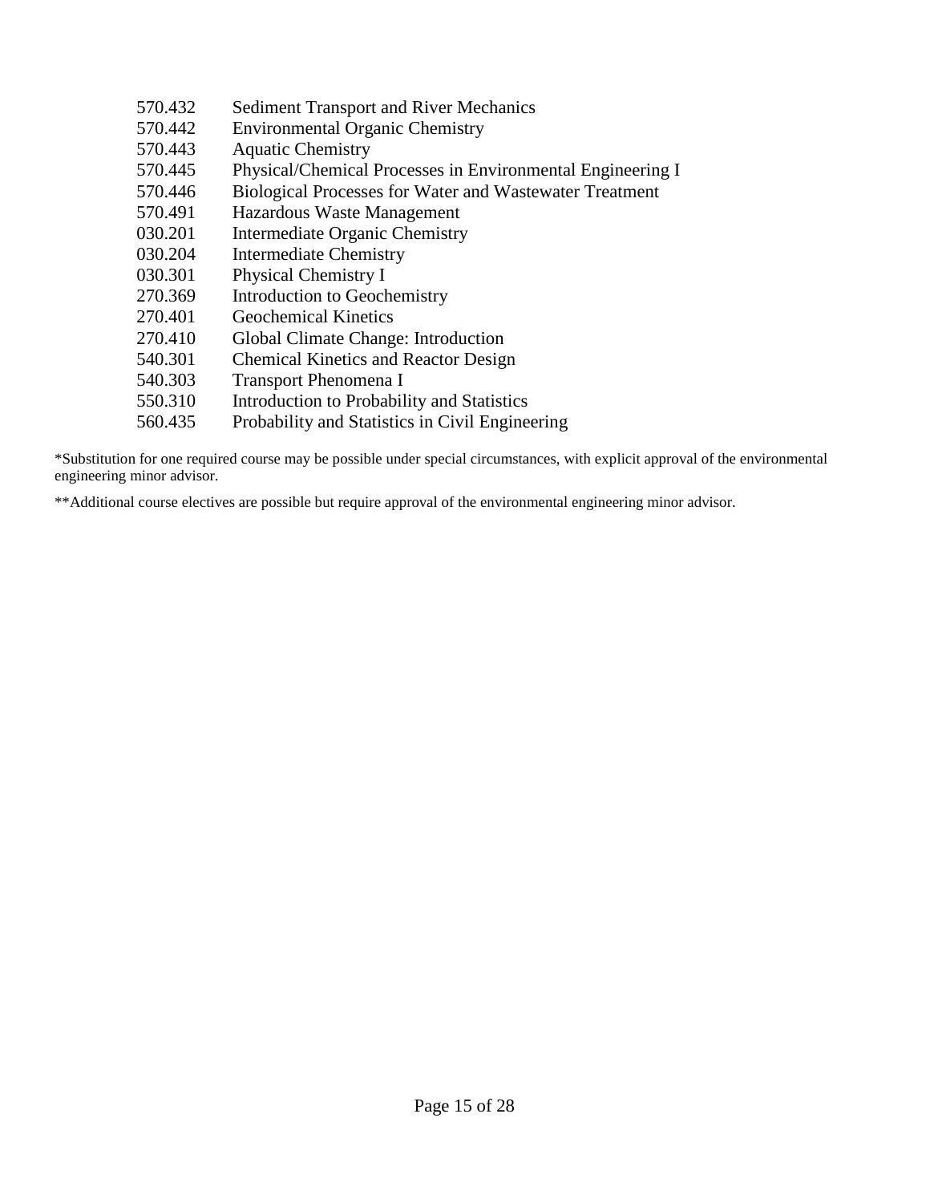| 570.432 | <b>Sediment Transport and River Mechanics</b>                  |
|---------|----------------------------------------------------------------|
| 570.442 | <b>Environmental Organic Chemistry</b>                         |
| 570.443 | <b>Aquatic Chemistry</b>                                       |
| 570.445 | Physical/Chemical Processes in Environmental Engineering I     |
| 570.446 | <b>Biological Processes for Water and Wastewater Treatment</b> |
| 570.491 | Hazardous Waste Management                                     |
| 030.201 | Intermediate Organic Chemistry                                 |
| 030.204 | <b>Intermediate Chemistry</b>                                  |
| 030.301 | <b>Physical Chemistry I</b>                                    |
| 270.369 | Introduction to Geochemistry                                   |
| 270.401 | <b>Geochemical Kinetics</b>                                    |
| 270.410 | Global Climate Change: Introduction                            |
| 540.301 | <b>Chemical Kinetics and Reactor Design</b>                    |
| 540.303 | <b>Transport Phenomena I</b>                                   |
| 550.310 | Introduction to Probability and Statistics                     |
| 560.435 | Probability and Statistics in Civil Engineering                |
|         |                                                                |

\*Substitution for one required course may be possible under special circumstances, with explicit approval of the environmental engineering minor advisor.

\*\*Additional course electives are possible but require approval of the environmental engineering minor advisor.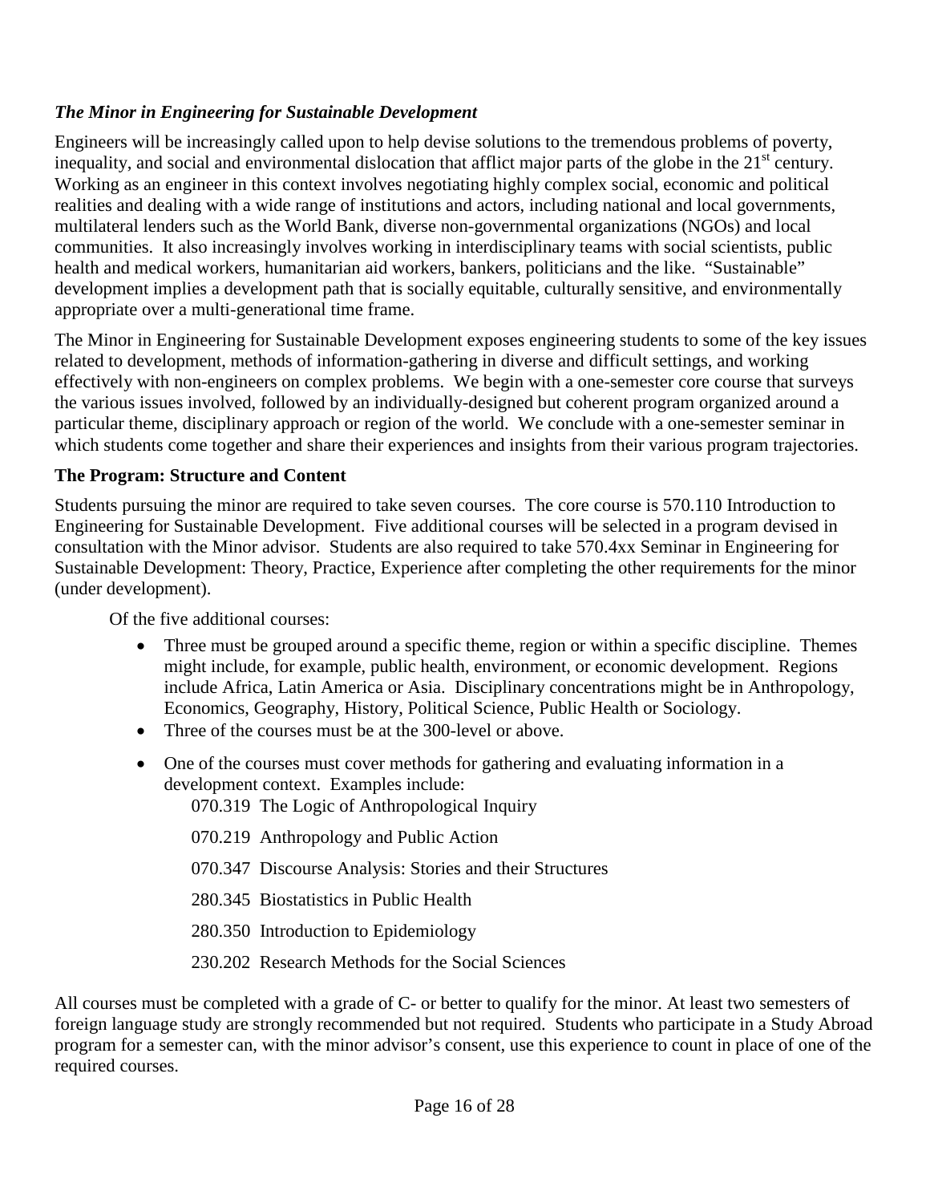## *The Minor in Engineering for Sustainable Development*

Engineers will be increasingly called upon to help devise solutions to the tremendous problems of poverty, inequality, and social and environmental dislocation that afflict major parts of the globe in the  $21<sup>st</sup>$  century. Working as an engineer in this context involves negotiating highly complex social, economic and political realities and dealing with a wide range of institutions and actors, including national and local governments, multilateral lenders such as the World Bank, diverse non-governmental organizations (NGOs) and local communities. It also increasingly involves working in interdisciplinary teams with social scientists, public health and medical workers, humanitarian aid workers, bankers, politicians and the like. "Sustainable" development implies a development path that is socially equitable, culturally sensitive, and environmentally appropriate over a multi-generational time frame.

The Minor in Engineering for Sustainable Development exposes engineering students to some of the key issues related to development, methods of information-gathering in diverse and difficult settings, and working effectively with non-engineers on complex problems. We begin with a one-semester core course that surveys the various issues involved, followed by an individually-designed but coherent program organized around a particular theme, disciplinary approach or region of the world. We conclude with a one-semester seminar in which students come together and share their experiences and insights from their various program trajectories.

## **The Program: Structure and Content**

Students pursuing the minor are required to take seven courses. The core course is 570.110 Introduction to Engineering for Sustainable Development. Five additional courses will be selected in a program devised in consultation with the Minor advisor. Students are also required to take 570.4xx Seminar in Engineering for Sustainable Development: Theory, Practice, Experience after completing the other requirements for the minor (under development).

Of the five additional courses:

- Three must be grouped around a specific theme, region or within a specific discipline. Themes might include, for example, public health, environment, or economic development. Regions include Africa, Latin America or Asia. Disciplinary concentrations might be in Anthropology, Economics, Geography, History, Political Science, Public Health or Sociology.
- Three of the courses must be at the 300-level or above.
- One of the courses must cover methods for gathering and evaluating information in a development context. Examples include:

070.319 The Logic of Anthropological Inquiry

- 070.219 Anthropology and Public Action
- 070.347 Discourse Analysis: Stories and their Structures
- 280.345 Biostatistics in Public Health
- 280.350 Introduction to Epidemiology
- 230.202 Research Methods for the Social Sciences

All courses must be completed with a grade of C- or better to qualify for the minor. At least two semesters of foreign language study are strongly recommended but not required. Students who participate in a Study Abroad program for a semester can, with the minor advisor's consent, use this experience to count in place of one of the required courses.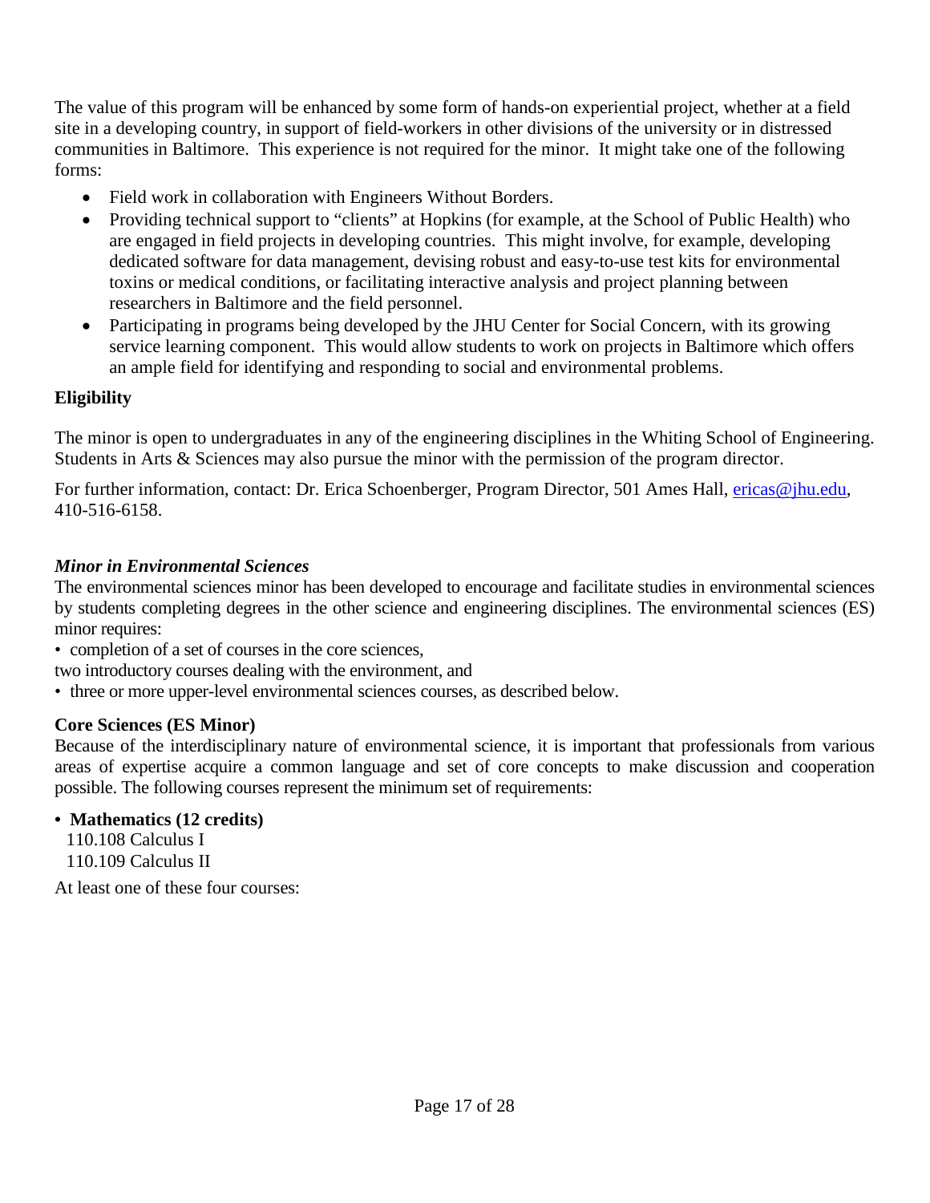The value of this program will be enhanced by some form of hands-on experiential project, whether at a field site in a developing country, in support of field-workers in other divisions of the university or in distressed communities in Baltimore. This experience is not required for the minor. It might take one of the following forms:

- Field work in collaboration with Engineers Without Borders.
- Providing technical support to "clients" at Hopkins (for example, at the School of Public Health) who are engaged in field projects in developing countries. This might involve, for example, developing dedicated software for data management, devising robust and easy-to-use test kits for environmental toxins or medical conditions, or facilitating interactive analysis and project planning between researchers in Baltimore and the field personnel.
- Participating in programs being developed by the JHU Center for Social Concern, with its growing service learning component. This would allow students to work on projects in Baltimore which offers an ample field for identifying and responding to social and environmental problems.

## **Eligibility**

The minor is open to undergraduates in any of the engineering disciplines in the Whiting School of Engineering. Students in Arts & Sciences may also pursue the minor with the permission of the program director.

For further information, contact: Dr. Erica Schoenberger, Program Director, 501 Ames Hall, *ericas@jhu.edu*, 410-516-6158.

## *Minor in Environmental Sciences*

The environmental sciences minor has been developed to encourage and facilitate studies in environmental sciences by students completing degrees in the other science and engineering disciplines. The environmental sciences (ES) minor requires:

- completion of a set of courses in the core sciences,
- two introductory courses dealing with the environment, and
- three or more upper-level environmental sciences courses, as described below.

## **Core Sciences (ES Minor)**

Because of the interdisciplinary nature of environmental science, it is important that professionals from various areas of expertise acquire a common language and set of core concepts to make discussion and cooperation possible. The following courses represent the minimum set of requirements:

### **• Mathematics (12 credits)**

110.108 Calculus I 110.109 Calculus II

At least one of these four courses: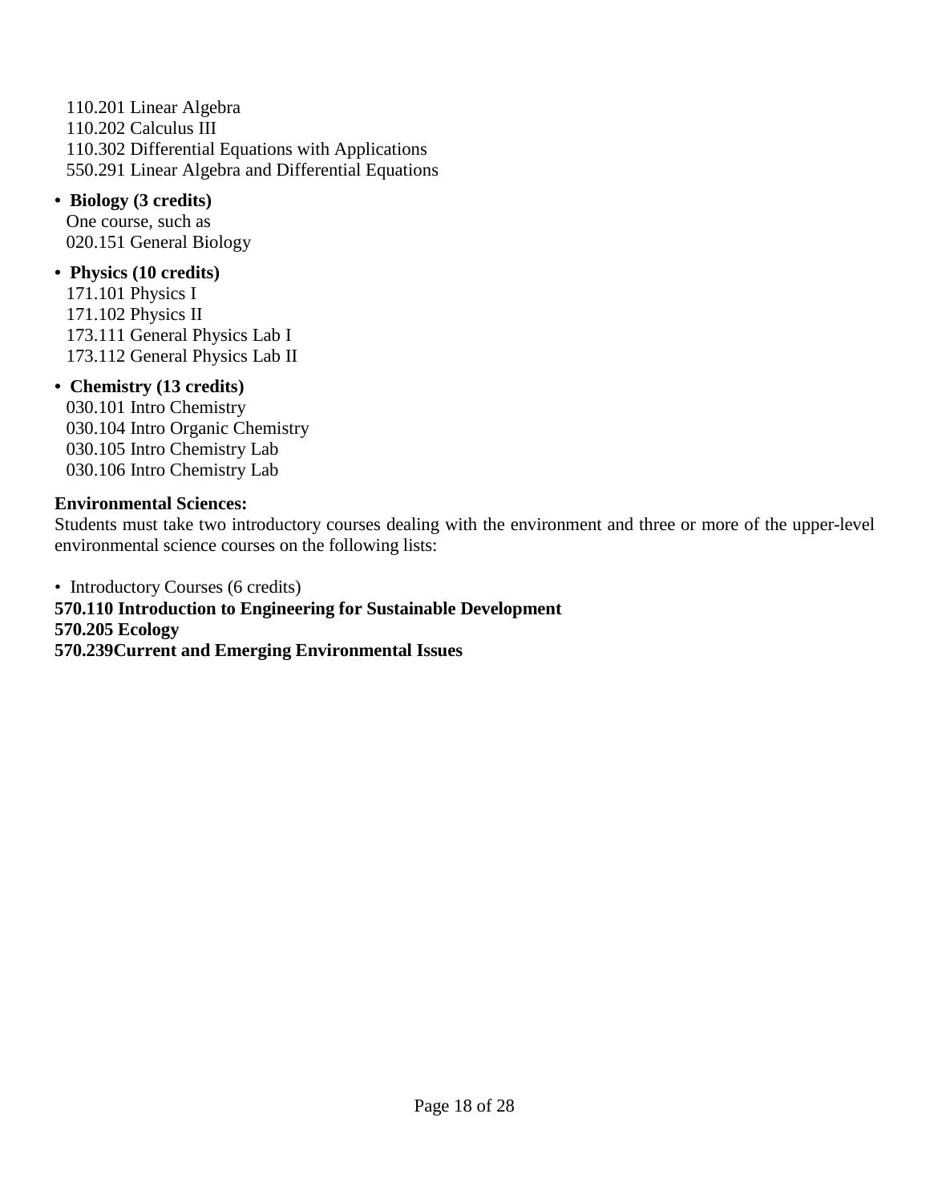110.201 Linear Algebra 110.202 Calculus III 110.302 Differential Equations with Applications 550.291 Linear Algebra and Differential Equations

**• Biology (3 credits)**  One course, such as 020.151 General Biology

## **• Physics (10 credits)**

171.101 Physics I 171.102 Physics II 173.111 General Physics Lab I 173.112 General Physics Lab II

### **• Chemistry (13 credits)**

030.101 Intro Chemistry 030.104 Intro Organic Chemistry 030.105 Intro Chemistry Lab 030.106 Intro Chemistry Lab

#### **Environmental Sciences:**

Students must take two introductory courses dealing with the environment and three or more of the upper-level environmental science courses on the following lists:

• Introductory Courses (6 credits) **570.110 Introduction to Engineering for Sustainable Development 570.205 Ecology 570.239Current and Emerging Environmental Issues**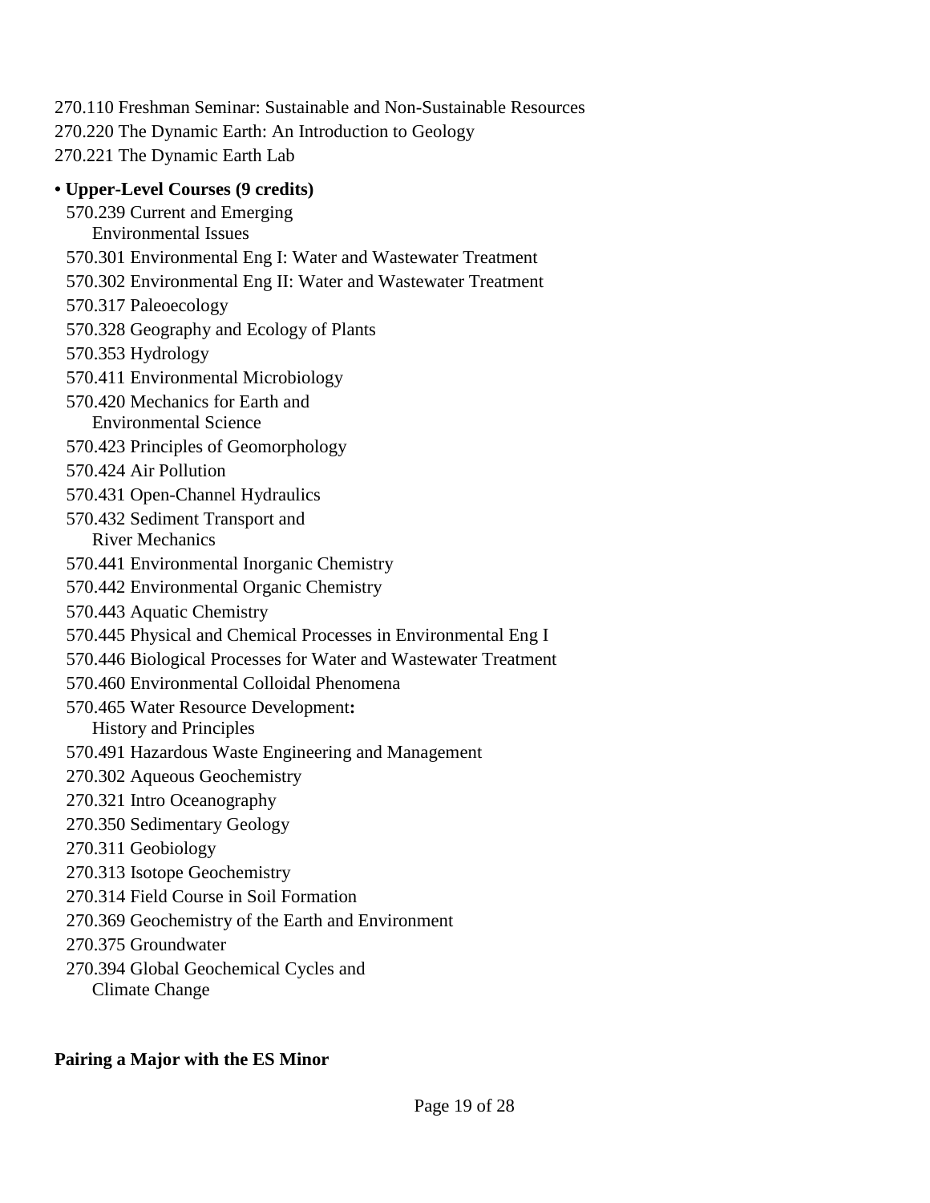270.110 Freshman Seminar: Sustainable and Non-Sustainable Resources 270.220 The Dynamic Earth: An Introduction to Geology 270.221 The Dynamic Earth Lab

## **• Upper-Level Courses (9 credits)**

570.239 Current and Emerging Environmental Issues 570.301 Environmental Eng I: Water and Wastewater Treatment 570.302 Environmental Eng II: Water and Wastewater Treatment 570.317 Paleoecology 570.328 Geography and Ecology of Plants 570.353 Hydrology 570.411 Environmental Microbiology 570.420 Mechanics for Earth and Environmental Science 570.423 Principles of Geomorphology 570.424 Air Pollution 570.431 Open-Channel Hydraulics 570.432 Sediment Transport and River Mechanics 570.441 Environmental Inorganic Chemistry 570.442 Environmental Organic Chemistry 570.443 Aquatic Chemistry 570.445 Physical and Chemical Processes in Environmental Eng I 570.446 Biological Processes for Water and Wastewater Treatment 570.460 Environmental Colloidal Phenomena 570.465 Water Resource Development**:**  History and Principles 570.491 Hazardous Waste Engineering and Management 270.302 Aqueous Geochemistry 270.321 Intro Oceanography 270.350 Sedimentary Geology 270.311 Geobiology 270.313 Isotope Geochemistry 270.314 Field Course in Soil Formation 270.369 Geochemistry of the Earth and Environment 270.375 Groundwater 270.394 Global Geochemical Cycles and Climate Change

### **Pairing a Major with the ES Minor**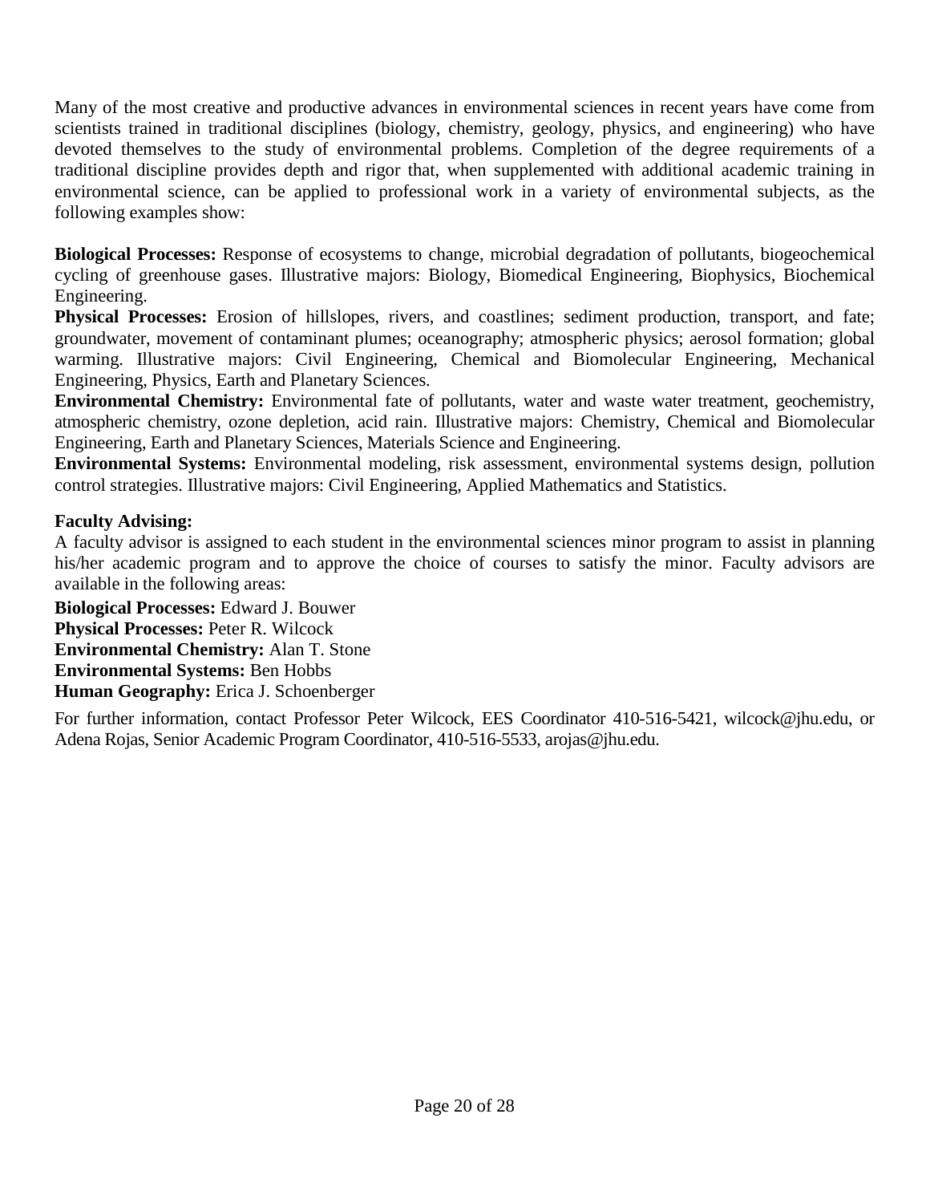Many of the most creative and productive advances in environmental sciences in recent years have come from scientists trained in traditional disciplines (biology, chemistry, geology, physics, and engineering) who have devoted themselves to the study of environmental problems. Completion of the degree requirements of a traditional discipline provides depth and rigor that, when supplemented with additional academic training in environmental science, can be applied to professional work in a variety of environmental subjects, as the following examples show:

**Biological Processes:** Response of ecosystems to change, microbial degradation of pollutants, biogeochemical cycling of greenhouse gases. Illustrative majors: Biology, Biomedical Engineering, Biophysics, Biochemical Engineering.

**Physical Processes:** Erosion of hillslopes, rivers, and coastlines; sediment production, transport, and fate; groundwater, movement of contaminant plumes; oceanography; atmospheric physics; aerosol formation; global warming. Illustrative majors: Civil Engineering, Chemical and Biomolecular Engineering, Mechanical Engineering, Physics, Earth and Planetary Sciences.

**Environmental Chemistry:** Environmental fate of pollutants, water and waste water treatment, geochemistry, atmospheric chemistry, ozone depletion, acid rain. Illustrative majors: Chemistry, Chemical and Biomolecular Engineering, Earth and Planetary Sciences, Materials Science and Engineering.

**Environmental Systems:** Environmental modeling, risk assessment, environmental systems design, pollution control strategies. Illustrative majors: Civil Engineering, Applied Mathematics and Statistics.

## **Faculty Advising:**

A faculty advisor is assigned to each student in the environmental sciences minor program to assist in planning his/her academic program and to approve the choice of courses to satisfy the minor. Faculty advisors are available in the following areas:

**Biological Processes:** Edward J. Bouwer **Physical Processes:** Peter R. Wilcock **Environmental Chemistry:** Alan T. Stone **Environmental Systems:** Ben Hobbs **Human Geography:** Erica J. Schoenberger

For further information, contact Professor Peter Wilcock, EES Coordinator 410-516-5421, wilcock@jhu.edu, or Adena Rojas, Senior Academic Program Coordinator, 410-516-5533, arojas@jhu.edu.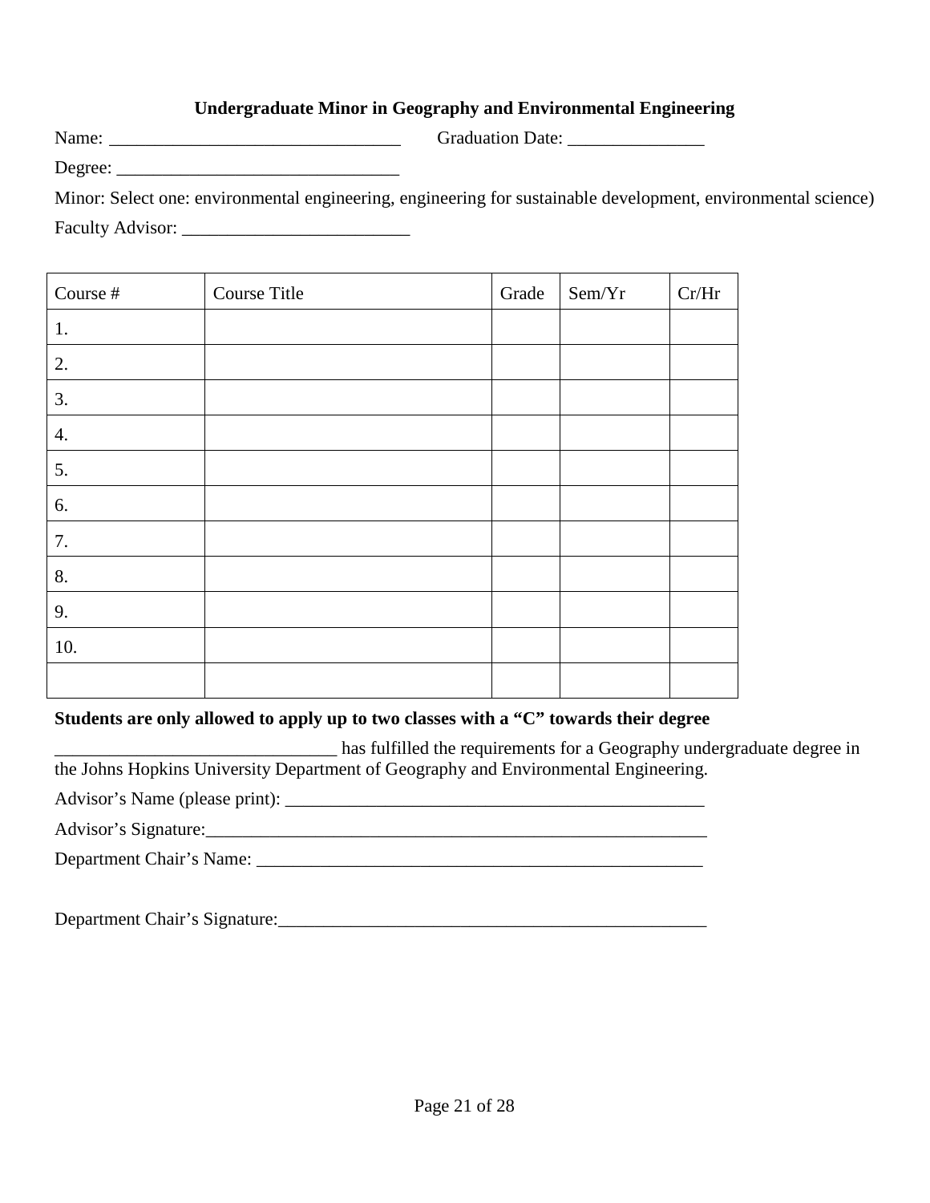## **Undergraduate Minor in Geography and Environmental Engineering**

Name: \_\_\_\_\_\_\_\_\_\_\_\_\_\_\_\_\_\_\_\_\_\_\_\_\_\_\_\_\_\_\_\_ Graduation Date: \_\_\_\_\_\_\_\_\_\_\_\_\_\_\_ Degree:

Minor: Select one: environmental engineering, engineering for sustainable development, environmental science) Faculty Advisor: \_\_\_\_\_\_\_\_\_\_\_\_\_\_\_\_\_\_\_\_\_\_\_\_\_

| Course $\#$ | Course Title | Grade | Sem/Yr | Cr/Hr |
|-------------|--------------|-------|--------|-------|
| 1.          |              |       |        |       |
| 2.          |              |       |        |       |
| 3.          |              |       |        |       |
| 4.          |              |       |        |       |
| 5.          |              |       |        |       |
| 6.          |              |       |        |       |
| 7.          |              |       |        |       |
| 8.          |              |       |        |       |
| 9.          |              |       |        |       |
| 10.         |              |       |        |       |
|             |              |       |        |       |

### **Students are only allowed to apply up to two classes with a "C" towards their degree**

\_\_\_\_\_\_\_\_\_\_\_\_\_\_\_\_\_\_\_\_\_\_\_\_\_\_\_\_\_\_\_ has fulfilled the requirements for a Geography undergraduate degree in the Johns Hopkins University Department of Geography and Environmental Engineering.

Advisor's Name (please print): \_\_\_\_\_\_\_\_\_\_\_\_\_\_\_\_\_\_\_\_\_\_\_\_\_\_\_\_\_\_\_\_\_\_\_\_\_\_\_\_\_\_\_\_\_\_

Advisor's Signature:\_\_\_\_\_\_\_\_\_\_\_\_\_\_\_\_\_\_\_\_\_\_\_\_\_\_\_\_\_\_\_\_\_\_\_\_\_\_\_\_\_\_\_\_\_\_\_\_\_\_\_\_\_\_\_

Department Chair's Name: \_\_\_\_\_\_\_\_\_\_\_\_\_\_\_\_\_\_\_\_\_\_\_\_\_\_\_\_\_\_\_\_\_\_\_\_\_\_\_\_\_\_\_\_\_\_\_\_\_

Department Chair's Signature: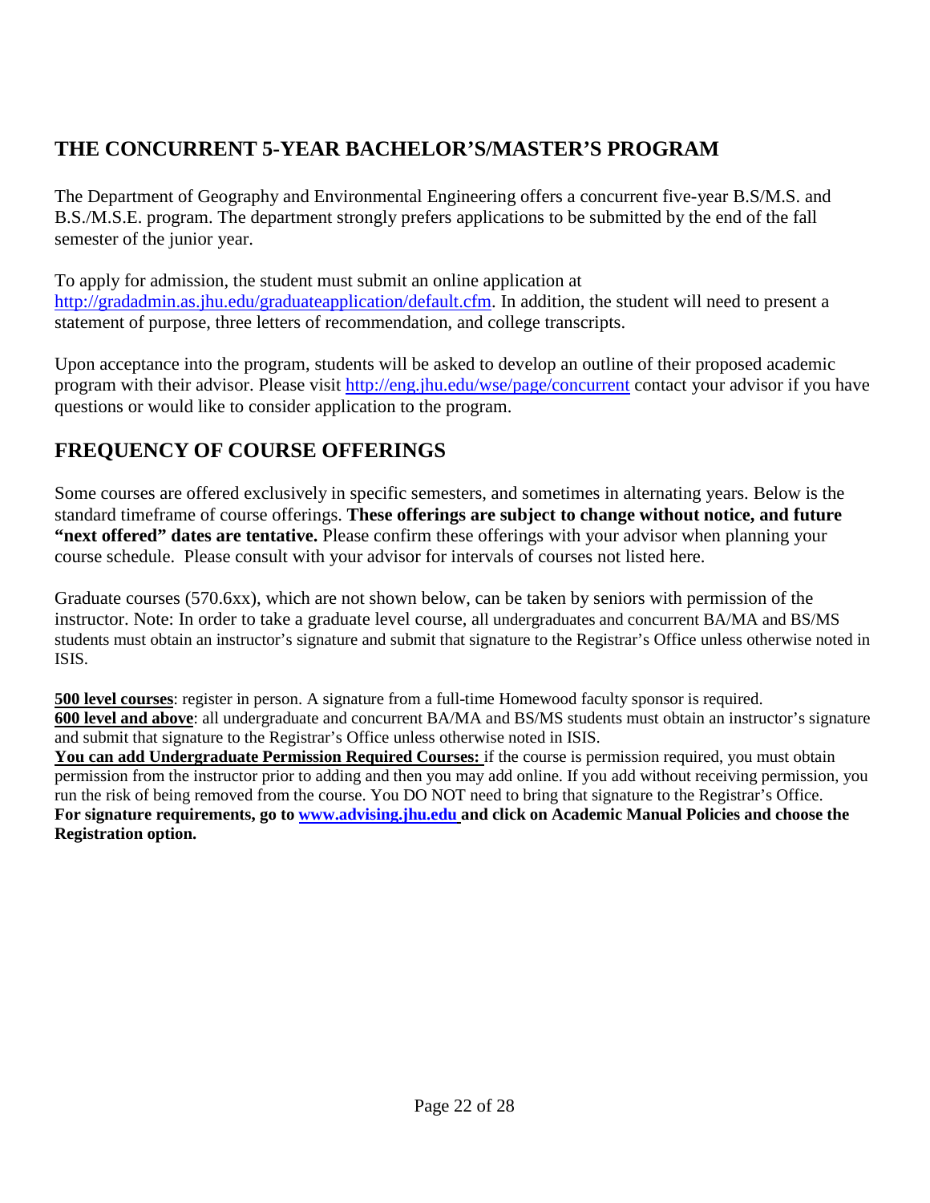# **THE CONCURRENT 5-YEAR BACHELOR'S/MASTER'S PROGRAM**

The Department of Geography and Environmental Engineering offers a concurrent five-year B.S/M.S. and B.S./M.S.E. program. The department strongly prefers applications to be submitted by the end of the fall semester of the junior year.

To apply for admission, the student must submit an online application at http://gradadmin.as.jhu.edu/graduateapplication/default.cfm. In addition, the student will need to present a statement of purpose, three letters of recommendation, and college transcripts.

Upon acceptance into the program, students will be asked to develop an outline of their proposed academic program with their advisor. Please visit http://eng.jhu.edu/wse/page/concurrent contact your advisor if you have questions or would like to consider application to the program.

# **FREQUENCY OF COURSE OFFERINGS**

Some courses are offered exclusively in specific semesters, and sometimes in alternating years. Below is the standard timeframe of course offerings. **These offerings are subject to change without notice, and future "next offered" dates are tentative.** Please confirm these offerings with your advisor when planning your course schedule. Please consult with your advisor for intervals of courses not listed here.

Graduate courses (570.6xx), which are not shown below, can be taken by seniors with permission of the instructor. Note: In order to take a graduate level course, all undergraduates and concurrent BA/MA and BS/MS students must obtain an instructor's signature and submit that signature to the Registrar's Office unless otherwise noted in ISIS.

**500 level courses**: register in person. A signature from a full-time Homewood faculty sponsor is required. **600 level and above**: all undergraduate and concurrent BA/MA and BS/MS students must obtain an instructor's signature and submit that signature to the Registrar's Office unless otherwise noted in ISIS.

You can add Undergraduate Permission Required Courses: if the course is permission required, you must obtain permission from the instructor prior to adding and then you may add online. If you add without receiving permission, you run the risk of being removed from the course. You DO NOT need to bring that signature to the Registrar's Office. **For signature requirements, go to www.advising.jhu.edu and click on Academic Manual Policies and choose the Registration option.**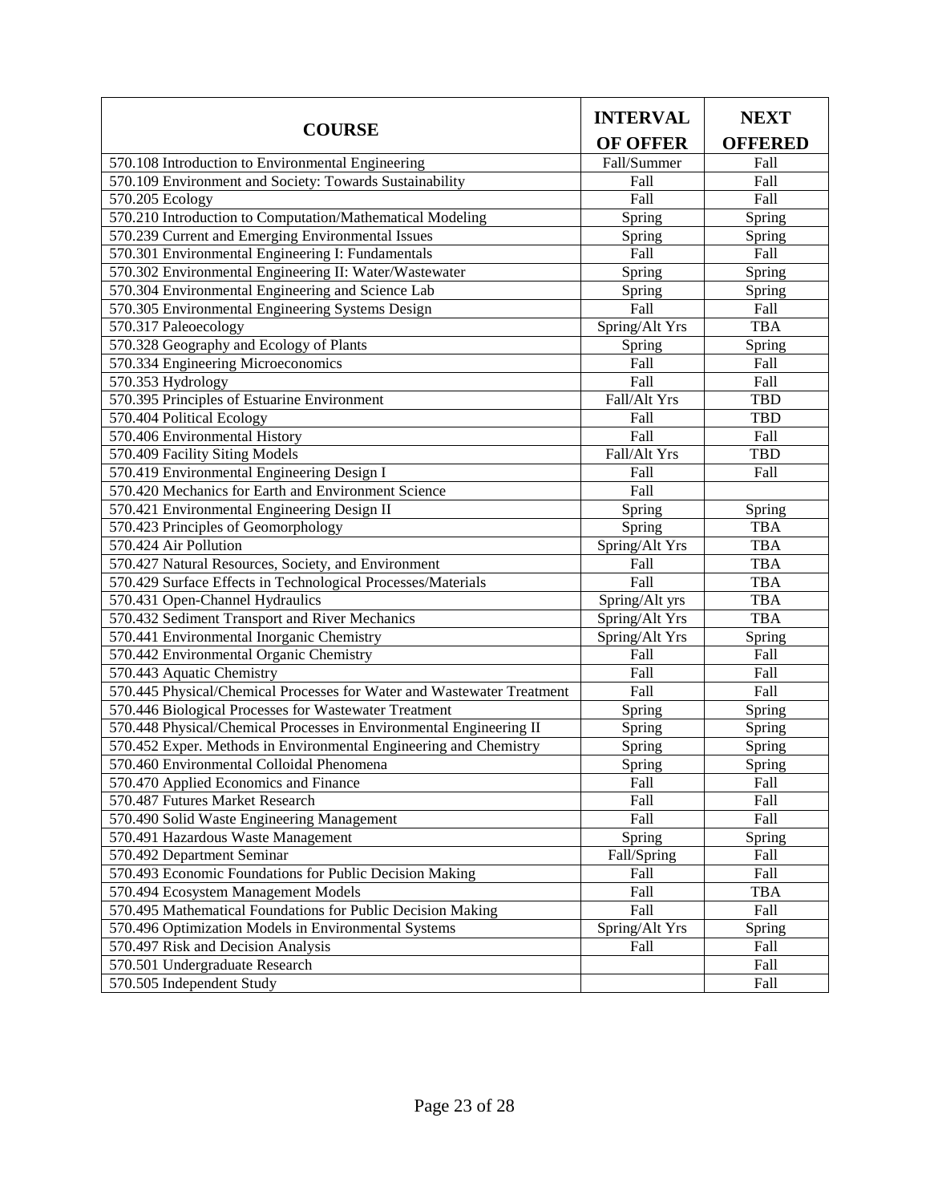|                                                                        | <b>INTERVAL</b> | <b>NEXT</b>    |  |
|------------------------------------------------------------------------|-----------------|----------------|--|
| <b>COURSE</b>                                                          | <b>OF OFFER</b> | <b>OFFERED</b> |  |
| 570.108 Introduction to Environmental Engineering                      | Fall/Summer     | Fall           |  |
| 570.109 Environment and Society: Towards Sustainability                | Fall            | Fall           |  |
| 570.205 Ecology                                                        | Fall            | Fall           |  |
| 570.210 Introduction to Computation/Mathematical Modeling              | Spring          | Spring         |  |
| 570.239 Current and Emerging Environmental Issues                      | Spring          | Spring         |  |
| 570.301 Environmental Engineering I: Fundamentals                      | Fall            | Fall           |  |
| 570.302 Environmental Engineering II: Water/Wastewater                 | Spring          | Spring         |  |
| 570.304 Environmental Engineering and Science Lab                      | Spring          | Spring         |  |
| 570.305 Environmental Engineering Systems Design                       | Fall            | Fall           |  |
| 570.317 Paleoecology                                                   | Spring/Alt Yrs  | <b>TBA</b>     |  |
| 570.328 Geography and Ecology of Plants                                | Spring          | Spring         |  |
| 570.334 Engineering Microeconomics                                     | Fall            | Fall           |  |
| 570.353 Hydrology                                                      | Fall            | Fall           |  |
| 570.395 Principles of Estuarine Environment                            | Fall/Alt Yrs    | <b>TBD</b>     |  |
| 570.404 Political Ecology                                              | Fall            | <b>TBD</b>     |  |
| 570.406 Environmental History                                          | Fall            | Fall           |  |
| 570.409 Facility Siting Models                                         | Fall/Alt Yrs    | <b>TBD</b>     |  |
| 570.419 Environmental Engineering Design I                             | Fall            | Fall           |  |
| 570.420 Mechanics for Earth and Environment Science                    | Fall            |                |  |
| 570.421 Environmental Engineering Design II                            | Spring          | Spring         |  |
| 570.423 Principles of Geomorphology                                    | Spring          | <b>TBA</b>     |  |
| 570.424 Air Pollution                                                  | Spring/Alt Yrs  | <b>TBA</b>     |  |
| 570.427 Natural Resources, Society, and Environment                    | Fall            | <b>TBA</b>     |  |
| 570.429 Surface Effects in Technological Processes/Materials           | Fall            | <b>TBA</b>     |  |
| 570.431 Open-Channel Hydraulics                                        | Spring/Alt yrs  | <b>TBA</b>     |  |
| 570.432 Sediment Transport and River Mechanics                         | Spring/Alt Yrs  | <b>TBA</b>     |  |
| 570.441 Environmental Inorganic Chemistry                              | Spring/Alt Yrs  | Spring         |  |
| 570.442 Environmental Organic Chemistry                                | Fall            | Fall           |  |
| 570.443 Aquatic Chemistry                                              | Fall            | Fall           |  |
| 570.445 Physical/Chemical Processes for Water and Wastewater Treatment | Fall            | Fall           |  |
| 570.446 Biological Processes for Wastewater Treatment                  | Spring          | Spring         |  |
| 570.448 Physical/Chemical Processes in Environmental Engineering II    | Spring          | Spring         |  |
| 570.452 Exper. Methods in Environmental Engineering and Chemistry      | Spring          | Spring         |  |
| 570.460 Environmental Colloidal Phenomena                              | Spring          | Spring         |  |
| 570.470 Applied Economics and Finance                                  | Fall            | Fall           |  |
| 570.487 Futures Market Research                                        | Fall            | Fall           |  |
| 570.490 Solid Waste Engineering Management                             | Fall            | Fall           |  |
| 570.491 Hazardous Waste Management                                     | Spring          | Spring         |  |
| 570.492 Department Seminar                                             | Fall/Spring     | Fall           |  |
| 570.493 Economic Foundations for Public Decision Making                | Fall            | Fall           |  |
| 570.494 Ecosystem Management Models                                    | Fall            | TBA            |  |
| 570.495 Mathematical Foundations for Public Decision Making            | Fall            | Fall           |  |
| 570.496 Optimization Models in Environmental Systems                   | Spring/Alt Yrs  | Spring         |  |
| 570.497 Risk and Decision Analysis                                     | Fall            | Fall           |  |
| 570.501 Undergraduate Research                                         |                 | Fall           |  |
| 570.505 Independent Study                                              |                 | Fall           |  |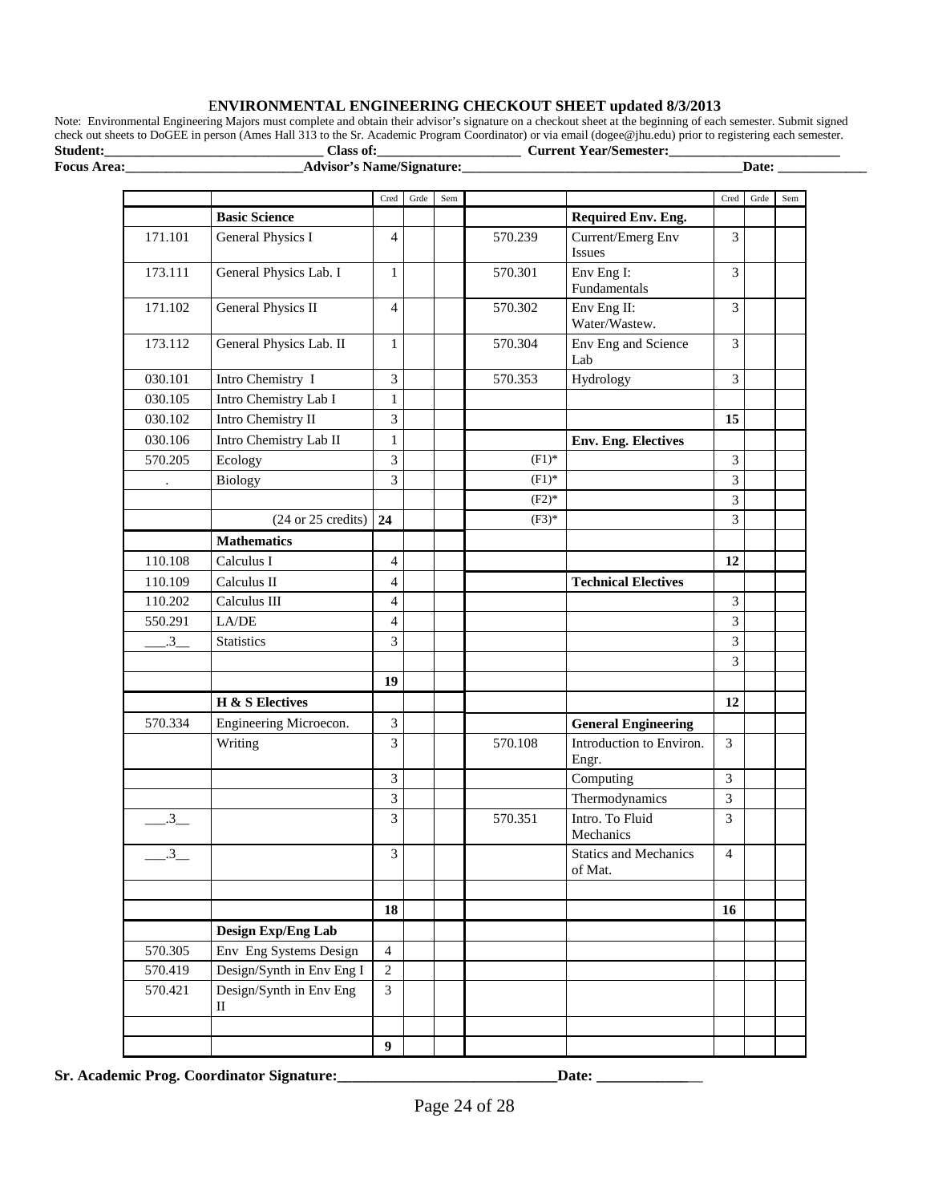#### E**NVIRONMENTAL ENGINEERING CHECKOUT SHEET updated 8/3/2013**

Note: Environmental Engineering Majors must complete and obtain their advisor's signature on a checkout sheet at the beginning of each semester. Submit signed check out sheets to DoGEE in person (Ames Hall 313 to the Sr. Academic Program Coordinator) or via email (dogee@jhu.edu) prior to registering each semester. **Student:\_\_\_\_\_\_\_\_\_\_\_\_\_\_\_\_\_\_\_\_\_\_\_\_\_\_\_\_\_\_\_\_ Class of:\_\_\_\_\_\_\_\_\_\_\_\_\_\_\_\_\_\_\_\_\_ Current Year/Semester:\_\_\_\_\_\_\_\_\_\_\_\_\_\_\_\_\_\_\_\_\_\_\_\_\_**

**Focus Area:\_\_\_\_\_\_\_\_\_\_\_\_\_\_\_\_\_\_\_\_\_\_\_\_\_\_Advisor's Name/Signature:\_\_\_\_\_\_\_\_\_\_\_\_\_\_\_\_\_\_\_\_\_\_\_\_\_\_\_\_\_\_\_\_\_\_\_\_\_\_\_\_\_Date: \_\_\_\_\_\_\_\_\_\_\_\_\_**

|                |                              | Cred           | Grde | Sem |          |                                         | Cred           | Grde | Sem |
|----------------|------------------------------|----------------|------|-----|----------|-----------------------------------------|----------------|------|-----|
|                | <b>Basic Science</b>         |                |      |     |          | Required Env. Eng.                      |                |      |     |
| 171.101        | <b>General Physics I</b>     | $\overline{4}$ |      |     | 570.239  | Current/Emerg Env<br>Issues             | 3              |      |     |
| 173.111        | General Physics Lab. I       | $\mathbf{1}$   |      |     | 570.301  | Env Eng I:<br>Fundamentals              | 3              |      |     |
| 171.102        | <b>General Physics II</b>    | $\overline{4}$ |      |     | 570.302  | Env Eng II:<br>Water/Wastew.            | 3              |      |     |
| 173.112        | General Physics Lab. II      | 1              |      |     | 570.304  | Env Eng and Science<br>Lab              | 3              |      |     |
| 030.101        | Intro Chemistry I            | 3              |      |     | 570.353  | Hydrology                               | 3              |      |     |
| 030.105        | Intro Chemistry Lab I        | $\mathbf{1}$   |      |     |          |                                         |                |      |     |
| 030.102        | Intro Chemistry II           | 3              |      |     |          |                                         | 15             |      |     |
| 030.106        | Intro Chemistry Lab II       | $\mathbf{1}$   |      |     |          | <b>Env. Eng. Electives</b>              |                |      |     |
| 570.205        | Ecology                      | 3              |      |     | $(F1)^*$ |                                         | 3              |      |     |
|                | Biology                      | 3              |      |     | $(F1)^*$ |                                         | 3              |      |     |
|                |                              |                |      |     | $(F2)*$  |                                         | 3              |      |     |
|                | (24 or 25 credits)           | 24             |      |     | $(F3)*$  |                                         | 3              |      |     |
|                | <b>Mathematics</b>           |                |      |     |          |                                         |                |      |     |
| 110.108        | Calculus I                   | $\overline{4}$ |      |     |          |                                         | 12             |      |     |
| 110.109        | Calculus II                  | $\overline{4}$ |      |     |          | <b>Technical Electives</b>              |                |      |     |
| 110.202        | Calculus III                 | $\overline{4}$ |      |     |          |                                         | 3              |      |     |
| 550.291        | LA/DE                        | $\overline{4}$ |      |     |          |                                         | 3              |      |     |
| $3_{-}$        | <b>Statistics</b>            | 3              |      |     |          |                                         | 3              |      |     |
|                |                              |                |      |     |          |                                         | 3              |      |     |
|                |                              | 19             |      |     |          |                                         |                |      |     |
|                | <b>H</b> & S Electives       |                |      |     |          |                                         | 12             |      |     |
| 570.334        | Engineering Microecon.       | 3              |      |     |          | <b>General Engineering</b>              |                |      |     |
|                | Writing                      | 3              |      |     | 570.108  | Introduction to Environ.<br>Engr.       | 3              |      |     |
|                |                              | 3              |      |     |          | Computing                               | 3              |      |     |
|                |                              | 3              |      |     |          | Thermodynamics                          | 3              |      |     |
| .3             |                              | 3              |      |     | 570.351  | Intro. To Fluid<br>Mechanics            | 3              |      |     |
| $\overline{3}$ |                              | 3              |      |     |          | <b>Statics and Mechanics</b><br>of Mat. | $\overline{4}$ |      |     |
|                |                              |                |      |     |          |                                         |                |      |     |
|                |                              | 18             |      |     |          |                                         | 16             |      |     |
|                | Design Exp/Eng Lab           |                |      |     |          |                                         |                |      |     |
| 570.305        | Env Eng Systems Design       | $\overline{4}$ |      |     |          |                                         |                |      |     |
| 570.419        | Design/Synth in Env Eng I    | $\overline{2}$ |      |     |          |                                         |                |      |     |
| 570.421        | Design/Synth in Env Eng<br>П | $\overline{3}$ |      |     |          |                                         |                |      |     |
|                |                              |                |      |     |          |                                         |                |      |     |
|                |                              | 9              |      |     |          |                                         |                |      |     |

**Sr. Academic Prog. Coordinator Signature:\_\_\_\_\_\_\_\_\_\_\_\_\_\_\_\_\_\_\_\_\_\_\_\_\_\_\_\_\_Date: \_\_\_\_\_\_\_\_\_\_\_\_**\_\_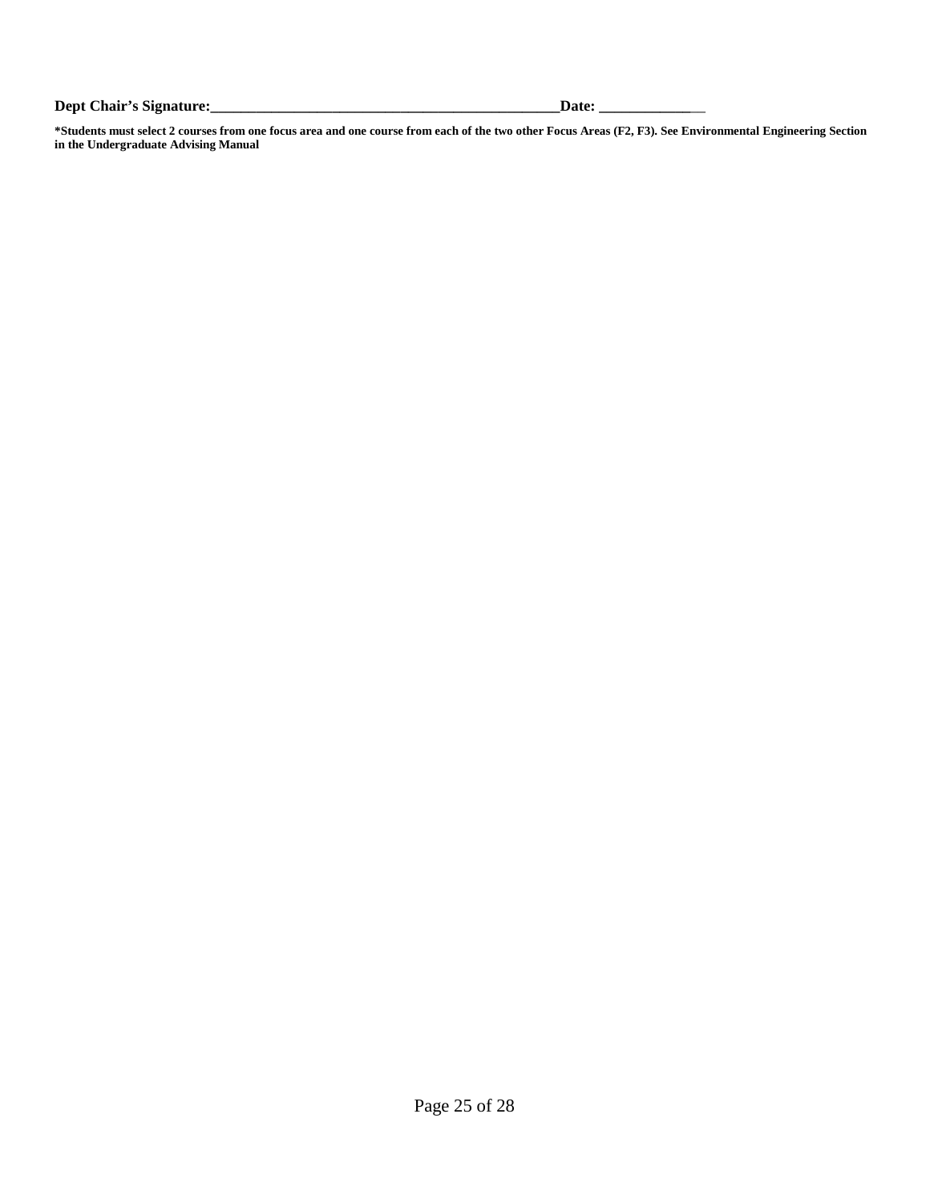**Dept Chair's Signature:\_\_\_\_\_\_\_\_\_\_\_\_\_\_\_\_\_\_\_\_\_\_\_\_\_\_\_\_\_\_\_\_\_\_\_\_\_\_\_\_\_\_\_\_\_\_Date: \_\_\_\_\_\_\_\_\_\_\_\_**\_\_

**\*Students must select 2 courses from one focus area and one course from each of the two other Focus Areas (F2, F3). See Environmental Engineering Section in the Undergraduate Advising Manual**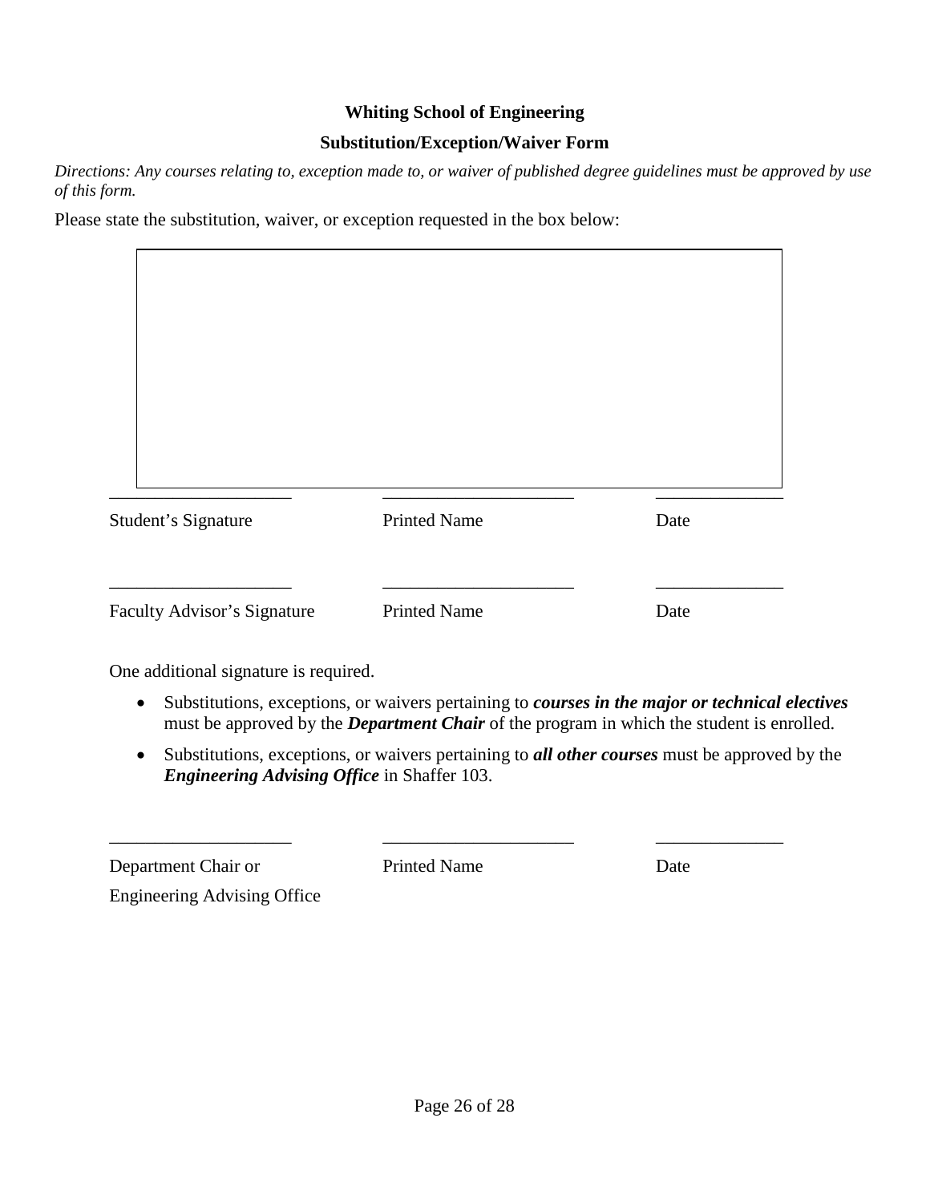#### **Whiting School of Engineering**

#### **Substitution/Exception/Waiver Form**

*Directions: Any courses relating to, exception made to, or waiver of published degree guidelines must be approved by use of this form.*

Please state the substitution, waiver, or exception requested in the box below:

| Student's Signature | <b>Printed Name</b> | Date |
|---------------------|---------------------|------|

One additional signature is required.

- Substitutions, exceptions, or waivers pertaining to *courses in the major or technical electives*  must be approved by the *Department Chair* of the program in which the student is enrolled.
- Substitutions, exceptions, or waivers pertaining to *all other courses* must be approved by the *Engineering Advising Office* in Shaffer 103.

| Department Chair or | <b>Printed Name</b> | Date |
|---------------------|---------------------|------|

Engineering Advising Office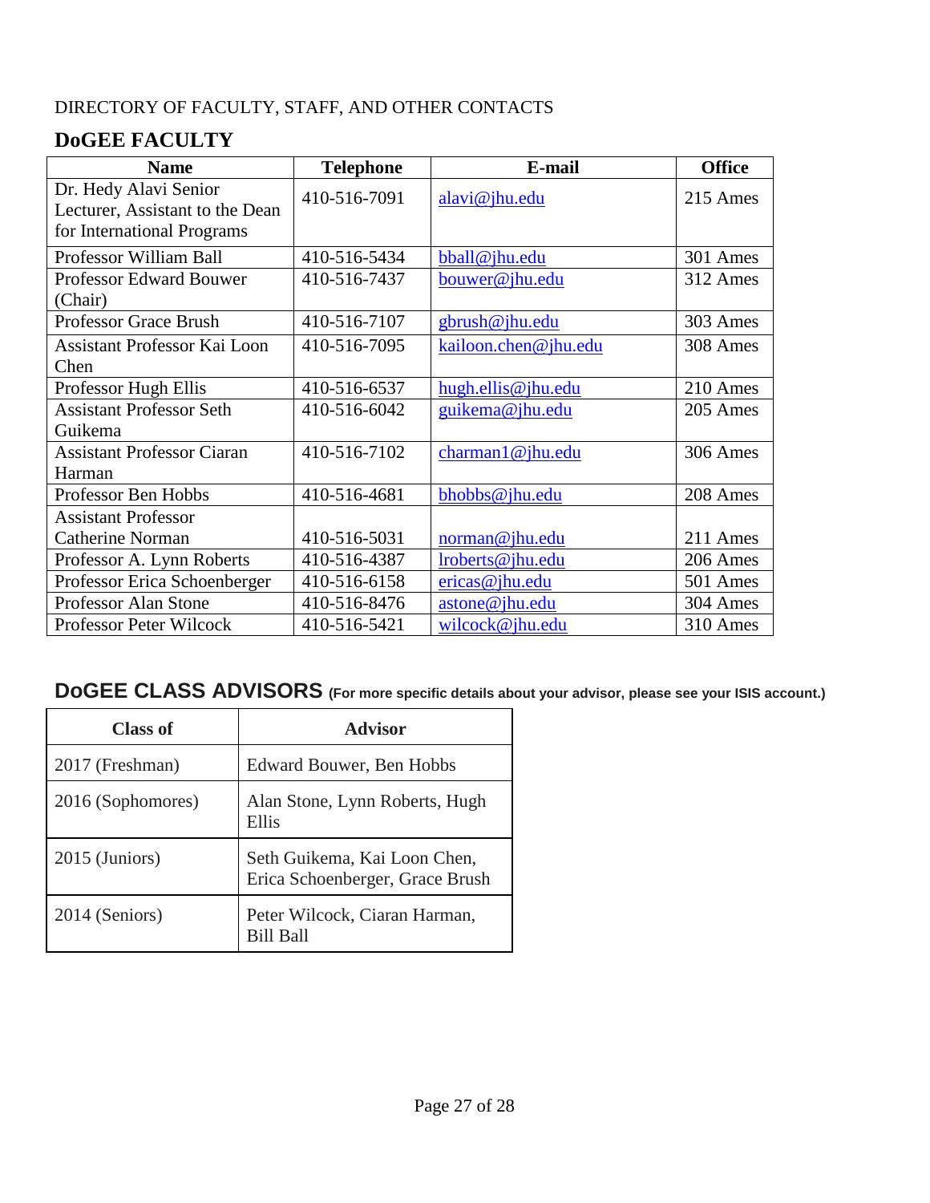# DIRECTORY OF FACULTY, STAFF, AND OTHER CONTACTS

# **DoGEE FACULTY**

| <b>Name</b>                         | <b>Telephone</b> | E-mail               | <b>Office</b> |
|-------------------------------------|------------------|----------------------|---------------|
| Dr. Hedy Alavi Senior               | 410-516-7091     | alavi@jhu.edu        | 215 Ames      |
| Lecturer, Assistant to the Dean     |                  |                      |               |
| for International Programs          |                  |                      |               |
| Professor William Ball              | 410-516-5434     | bball@jhu.edu        | 301 Ames      |
| <b>Professor Edward Bouwer</b>      | 410-516-7437     | bouwer@jhu.edu       | 312 Ames      |
| (Chair)                             |                  |                      |               |
| <b>Professor Grace Brush</b>        | 410-516-7107     | gbrush@jhu.edu       | 303 Ames      |
| <b>Assistant Professor Kai Loon</b> | 410-516-7095     | kailoon.chen@jhu.edu | 308 Ames      |
| Chen                                |                  |                      |               |
| Professor Hugh Ellis                | 410-516-6537     | hugh.ellis@jhu.edu   | 210 Ames      |
| <b>Assistant Professor Seth</b>     | 410-516-6042     | guikema@jhu.edu      | 205 Ames      |
| Guikema                             |                  |                      |               |
| <b>Assistant Professor Ciaran</b>   | 410-516-7102     | charman1@jhu.edu     | 306 Ames      |
| Harman                              |                  |                      |               |
| Professor Ben Hobbs                 | 410-516-4681     | bhobbs@jhu.edu       | 208 Ames      |
| <b>Assistant Professor</b>          |                  |                      |               |
| <b>Catherine Norman</b>             | 410-516-5031     | norman@jhu.edu       | 211 Ames      |
| Professor A. Lynn Roberts           | 410-516-4387     | lroberts@jhu.edu     | 206 Ames      |
| Professor Erica Schoenberger        | 410-516-6158     | $e$ ricas@jhu.edu    | 501 Ames      |
| Professor Alan Stone                | 410-516-8476     | astone@jhu.edu       | 304 Ames      |
| Professor Peter Wilcock             | 410-516-5421     | wilcock@jhu.edu      | 310 Ames      |

# **DoGEE CLASS ADVISORS (For more specific details about your advisor, please see your ISIS account.)**

| Class of          | Advisor                                                         |
|-------------------|-----------------------------------------------------------------|
| 2017 (Freshman)   | Edward Bouwer, Ben Hobbs                                        |
| 2016 (Sophomores) | Alan Stone, Lynn Roberts, Hugh<br>Ellis                         |
| 2015 (Juniors)    | Seth Guikema, Kai Loon Chen,<br>Erica Schoenberger, Grace Brush |
| 2014 (Seniors)    | Peter Wilcock, Ciaran Harman,<br><b>Bill Ball</b>               |